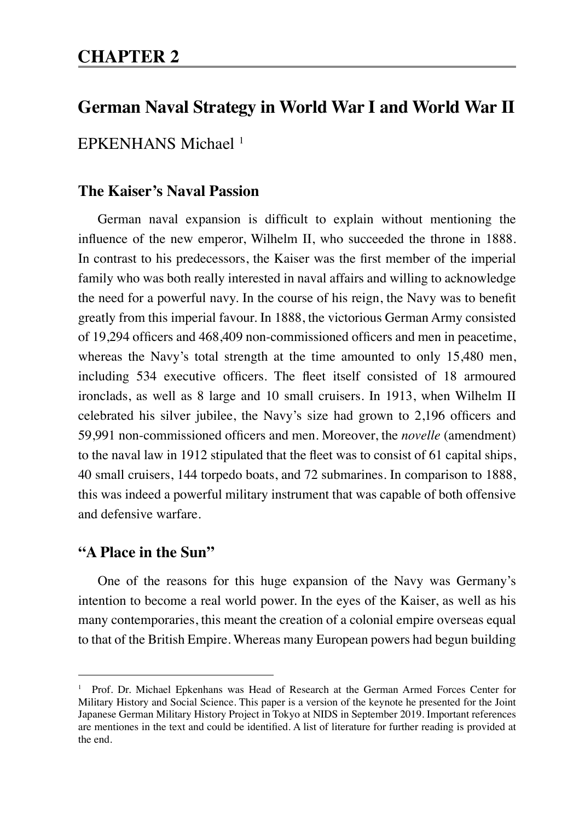# **CHAPTER 2**

# **German Naval Strategy in World War I and World War II**

## EPKENHANS Michael<sup>1</sup>

## **The Kaiser's Naval Passion**

German naval expansion is difficult to explain without mentioning the influence of the new emperor, Wilhelm II, who succeeded the throne in 1888. In contrast to his predecessors, the Kaiser was the first member of the imperial family who was both really interested in naval affairs and willing to acknowledge the need for a powerful navy. In the course of his reign, the Navy was to benefit greatly from this imperial favour. In 1888, the victorious German Army consisted of 19,294 officers and 468,409 non-commissioned officers and men in peacetime, whereas the Navy's total strength at the time amounted to only 15,480 men, including 534 executive officers. The fleet itself consisted of 18 armoured ironclads, as well as 8 large and 10 small cruisers. In 1913, when Wilhelm II celebrated his silver jubilee, the Navy's size had grown to 2,196 officers and 59,991 non-commissioned officers and men. Moreover, the *novelle* (amendment) to the naval law in 1912 stipulated that the fleet was to consist of 61 capital ships, 40 small cruisers, 144 torpedo boats, and 72 submarines. In comparison to 1888, this was indeed a powerful military instrument that was capable of both offensive and defensive warfare.

#### **"A Place in the Sun"**

One of the reasons for this huge expansion of the Navy was Germany's intention to become a real world power. In the eyes of the Kaiser, as well as his many contemporaries, this meant the creation of a colonial empire overseas equal to that of the British Empire. Whereas many European powers had begun building

<sup>1</sup> Prof. Dr. Michael Epkenhans was Head of Research at the German Armed Forces Center for Military History and Social Science. This paper is a version of the keynote he presented for the Joint Japanese German Military History Project in Tokyo at NIDS in September 2019. Important references are mentiones in the text and could be identified. A list of literature for further reading is provided at the end.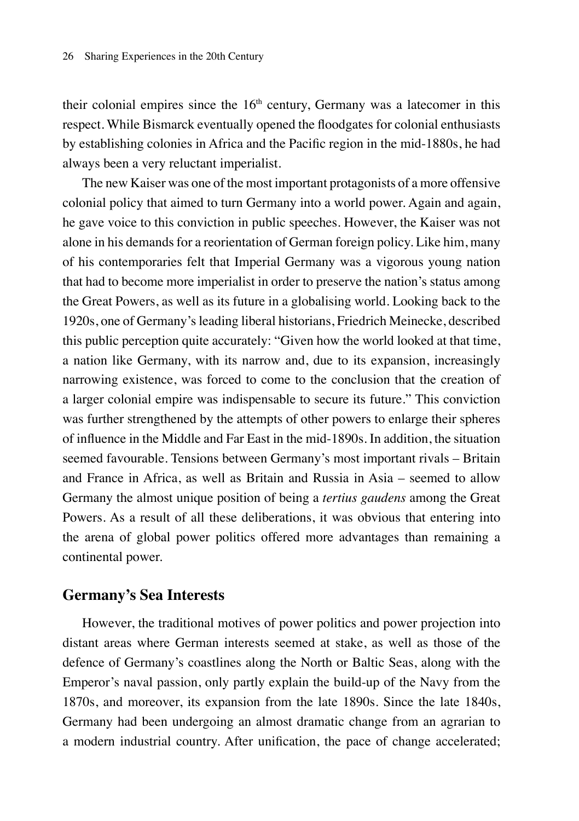their colonial empires since the  $16<sup>th</sup>$  century, Germany was a latecomer in this respect. While Bismarck eventually opened the floodgates for colonial enthusiasts by establishing colonies in Africa and the Pacific region in the mid-1880s, he had always been a very reluctant imperialist.

The new Kaiser was one of the most important protagonists of a more offensive colonial policy that aimed to turn Germany into a world power. Again and again, he gave voice to this conviction in public speeches. However, the Kaiser was not alone in his demands for a reorientation of German foreign policy. Like him, many of his contemporaries felt that Imperial Germany was a vigorous young nation that had to become more imperialist in order to preserve the nation's status among the Great Powers, as well as its future in a globalising world. Looking back to the 1920s, one of Germany's leading liberal historians, Friedrich Meinecke, described this public perception quite accurately: "Given how the world looked at that time, a nation like Germany, with its narrow and, due to its expansion, increasingly narrowing existence, was forced to come to the conclusion that the creation of a larger colonial empire was indispensable to secure its future." This conviction was further strengthened by the attempts of other powers to enlarge their spheres of influence in the Middle and Far East in the mid-1890s. In addition, the situation seemed favourable. Tensions between Germany's most important rivals – Britain and France in Africa, as well as Britain and Russia in Asia – seemed to allow Germany the almost unique position of being a *tertius gaudens* among the Great Powers. As a result of all these deliberations, it was obvious that entering into the arena of global power politics offered more advantages than remaining a continental power.

#### **Germany's Sea Interests**

However, the traditional motives of power politics and power projection into distant areas where German interests seemed at stake, as well as those of the defence of Germany's coastlines along the North or Baltic Seas, along with the Emperor's naval passion, only partly explain the build-up of the Navy from the 1870s, and moreover, its expansion from the late 1890s. Since the late 1840s, Germany had been undergoing an almost dramatic change from an agrarian to a modern industrial country. After unification, the pace of change accelerated;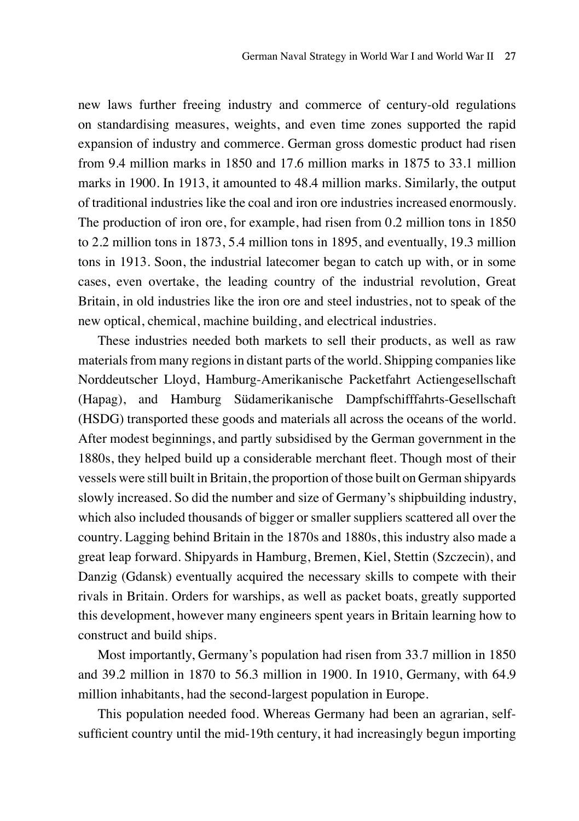new laws further freeing industry and commerce of century-old regulations on standardising measures, weights, and even time zones supported the rapid expansion of industry and commerce. German gross domestic product had risen from 9.4 million marks in 1850 and 17.6 million marks in 1875 to 33.1 million marks in 1900. In 1913, it amounted to 48.4 million marks. Similarly, the output of traditional industries like the coal and iron ore industries increased enormously. The production of iron ore, for example, had risen from 0.2 million tons in 1850 to 2.2 million tons in 1873, 5.4 million tons in 1895, and eventually, 19.3 million tons in 1913. Soon, the industrial latecomer began to catch up with, or in some cases, even overtake, the leading country of the industrial revolution, Great Britain, in old industries like the iron ore and steel industries, not to speak of the new optical, chemical, machine building, and electrical industries.

These industries needed both markets to sell their products, as well as raw materials from many regions in distant parts of the world. Shipping companies like Norddeutscher Lloyd, Hamburg-Amerikanische Packetfahrt Actiengesellschaft (Hapag), and Hamburg Südamerikanische Dampfschifffahrts-Gesellschaft (HSDG) transported these goods and materials all across the oceans of the world. After modest beginnings, and partly subsidised by the German government in the 1880s, they helped build up a considerable merchant fleet. Though most of their vessels were still built in Britain, the proportion of those built on German shipyards slowly increased. So did the number and size of Germany's shipbuilding industry, which also included thousands of bigger or smaller suppliers scattered all over the country. Lagging behind Britain in the 1870s and 1880s, this industry also made a great leap forward. Shipyards in Hamburg, Bremen, Kiel, Stettin (Szczecin), and Danzig (Gdansk) eventually acquired the necessary skills to compete with their rivals in Britain. Orders for warships, as well as packet boats, greatly supported this development, however many engineers spent years in Britain learning how to construct and build ships.

Most importantly, Germany's population had risen from 33.7 million in 1850 and 39.2 million in 1870 to 56.3 million in 1900. In 1910, Germany, with 64.9 million inhabitants, had the second-largest population in Europe.

This population needed food. Whereas Germany had been an agrarian, selfsufficient country until the mid-19th century, it had increasingly begun importing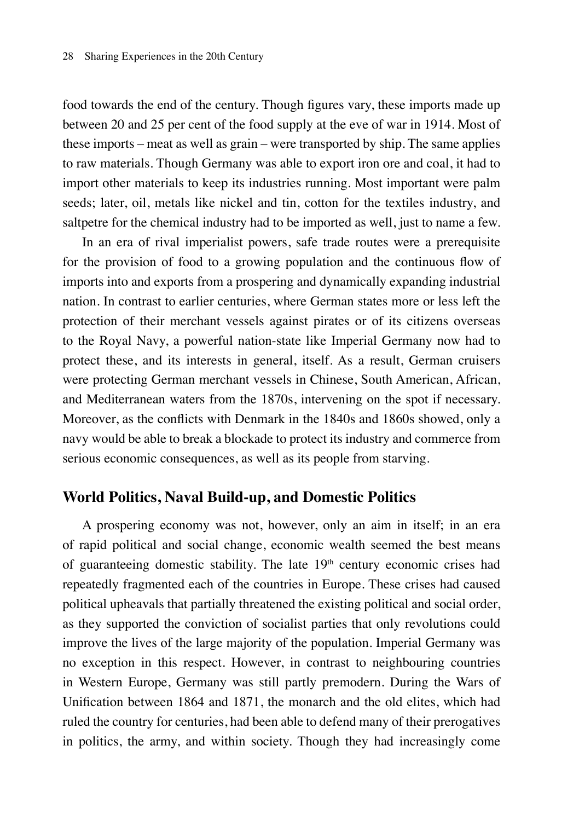food towards the end of the century. Though figures vary, these imports made up between 20 and 25 per cent of the food supply at the eve of war in 1914. Most of these imports – meat as well as grain – were transported by ship. The same applies to raw materials. Though Germany was able to export iron ore and coal, it had to import other materials to keep its industries running. Most important were palm seeds; later, oil, metals like nickel and tin, cotton for the textiles industry, and saltpetre for the chemical industry had to be imported as well, just to name a few.

In an era of rival imperialist powers, safe trade routes were a prerequisite for the provision of food to a growing population and the continuous flow of imports into and exports from a prospering and dynamically expanding industrial nation. In contrast to earlier centuries, where German states more or less left the protection of their merchant vessels against pirates or of its citizens overseas to the Royal Navy, a powerful nation-state like Imperial Germany now had to protect these, and its interests in general, itself. As a result, German cruisers were protecting German merchant vessels in Chinese, South American, African, and Mediterranean waters from the 1870s, intervening on the spot if necessary. Moreover, as the conflicts with Denmark in the 1840s and 1860s showed, only a navy would be able to break a blockade to protect its industry and commerce from serious economic consequences, as well as its people from starving.

#### **World Politics, Naval Build-up, and Domestic Politics**

A prospering economy was not, however, only an aim in itself; in an era of rapid political and social change, economic wealth seemed the best means of guaranteeing domestic stability. The late  $19<sup>th</sup>$  century economic crises had repeatedly fragmented each of the countries in Europe. These crises had caused political upheavals that partially threatened the existing political and social order, as they supported the conviction of socialist parties that only revolutions could improve the lives of the large majority of the population. Imperial Germany was no exception in this respect. However, in contrast to neighbouring countries in Western Europe, Germany was still partly premodern. During the Wars of Unification between 1864 and 1871, the monarch and the old elites, which had ruled the country for centuries, had been able to defend many of their prerogatives in politics, the army, and within society. Though they had increasingly come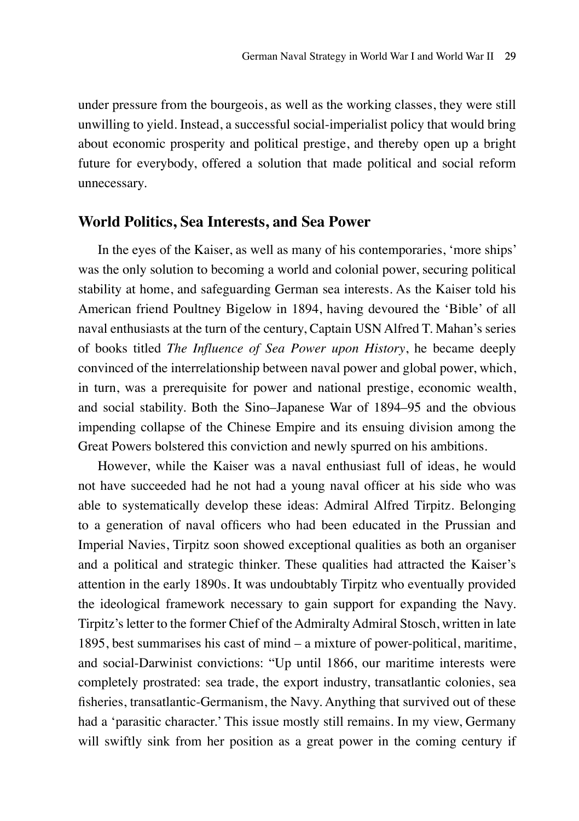under pressure from the bourgeois, as well as the working classes, they were still unwilling to yield. Instead, a successful social-imperialist policy that would bring about economic prosperity and political prestige, and thereby open up a bright future for everybody, offered a solution that made political and social reform unnecessary.

#### **World Politics, Sea Interests, and Sea Power**

In the eyes of the Kaiser, as well as many of his contemporaries, 'more ships' was the only solution to becoming a world and colonial power, securing political stability at home, and safeguarding German sea interests. As the Kaiser told his American friend Poultney Bigelow in 1894, having devoured the 'Bible' of all naval enthusiasts at the turn of the century, Captain USN Alfred T. Mahan's series of books titled *The Influence of Sea Power upon History*, he became deeply convinced of the interrelationship between naval power and global power, which, in turn, was a prerequisite for power and national prestige, economic wealth, and social stability. Both the Sino–Japanese War of 1894–95 and the obvious impending collapse of the Chinese Empire and its ensuing division among the Great Powers bolstered this conviction and newly spurred on his ambitions.

However, while the Kaiser was a naval enthusiast full of ideas, he would not have succeeded had he not had a young naval officer at his side who was able to systematically develop these ideas: Admiral Alfred Tirpitz. Belonging to a generation of naval officers who had been educated in the Prussian and Imperial Navies, Tirpitz soon showed exceptional qualities as both an organiser and a political and strategic thinker. These qualities had attracted the Kaiser's attention in the early 1890s. It was undoubtably Tirpitz who eventually provided the ideological framework necessary to gain support for expanding the Navy. Tirpitz's letter to the former Chief of the Admiralty Admiral Stosch, written in late 1895, best summarises his cast of mind – a mixture of power-political, maritime, and social-Darwinist convictions: "Up until 1866, our maritime interests were completely prostrated: sea trade, the export industry, transatlantic colonies, sea fisheries, transatlantic-Germanism, the Navy. Anything that survived out of these had a 'parasitic character.' This issue mostly still remains. In my view, Germany will swiftly sink from her position as a great power in the coming century if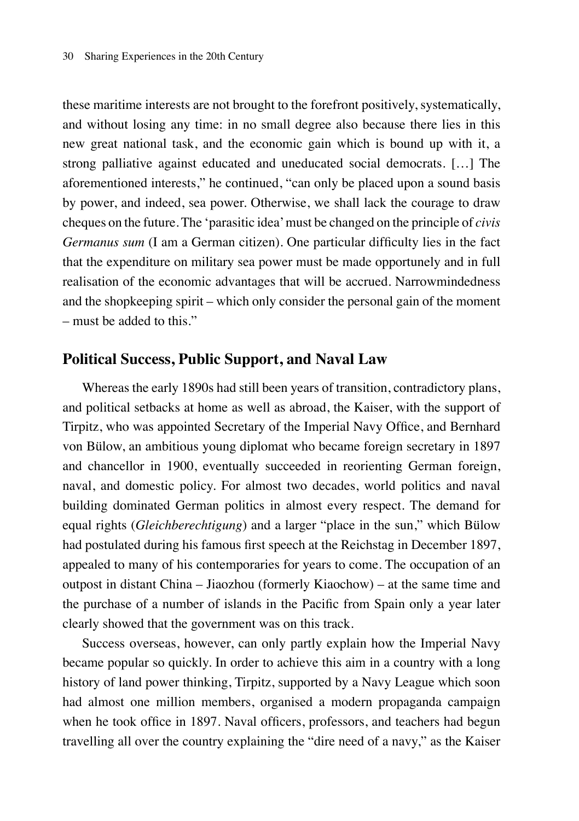these maritime interests are not brought to the forefront positively, systematically, and without losing any time: in no small degree also because there lies in this new great national task, and the economic gain which is bound up with it, a strong palliative against educated and uneducated social democrats. […] The aforementioned interests," he continued, "can only be placed upon a sound basis by power, and indeed, sea power. Otherwise, we shall lack the courage to draw cheques on the future. The 'parasitic idea' must be changed on the principle of *civis Germanus sum* (I am a German citizen). One particular difficulty lies in the fact that the expenditure on military sea power must be made opportunely and in full realisation of the economic advantages that will be accrued. Narrowmindedness and the shopkeeping spirit – which only consider the personal gain of the moment – must be added to this."

#### **Political Success, Public Support, and Naval Law**

Whereas the early 1890s had still been years of transition, contradictory plans, and political setbacks at home as well as abroad, the Kaiser, with the support of Tirpitz, who was appointed Secretary of the Imperial Navy Office, and Bernhard von Bülow, an ambitious young diplomat who became foreign secretary in 1897 and chancellor in 1900, eventually succeeded in reorienting German foreign, naval, and domestic policy. For almost two decades, world politics and naval building dominated German politics in almost every respect. The demand for equal rights (*Gleichberechtigung*) and a larger "place in the sun," which Bülow had postulated during his famous first speech at the Reichstag in December 1897, appealed to many of his contemporaries for years to come. The occupation of an outpost in distant China – Jiaozhou (formerly Kiaochow) – at the same time and the purchase of a number of islands in the Pacific from Spain only a year later clearly showed that the government was on this track.

Success overseas, however, can only partly explain how the Imperial Navy became popular so quickly. In order to achieve this aim in a country with a long history of land power thinking, Tirpitz, supported by a Navy League which soon had almost one million members, organised a modern propaganda campaign when he took office in 1897. Naval officers, professors, and teachers had begun travelling all over the country explaining the "dire need of a navy," as the Kaiser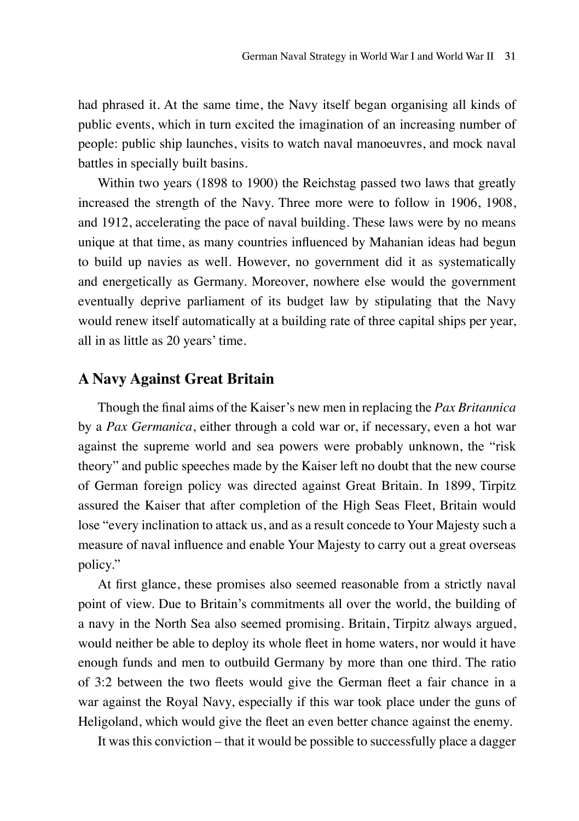had phrased it. At the same time, the Navy itself began organising all kinds of public events, which in turn excited the imagination of an increasing number of people: public ship launches, visits to watch naval manoeuvres, and mock naval battles in specially built basins.

Within two years (1898 to 1900) the Reichstag passed two laws that greatly increased the strength of the Navy. Three more were to follow in 1906, 1908, and 1912, accelerating the pace of naval building. These laws were by no means unique at that time, as many countries influenced by Mahanian ideas had begun to build up navies as well. However, no government did it as systematically and energetically as Germany. Moreover, nowhere else would the government eventually deprive parliament of its budget law by stipulating that the Navy would renew itself automatically at a building rate of three capital ships per year, all in as little as 20 years' time.

### **A Navy Against Great Britain**

Though the final aims of the Kaiser's new men in replacing the *Pax Britannica* by a *Pax Germanica*, either through a cold war or, if necessary, even a hot war against the supreme world and sea powers were probably unknown, the "risk theory" and public speeches made by the Kaiser left no doubt that the new course of German foreign policy was directed against Great Britain. In 1899, Tirpitz assured the Kaiser that after completion of the High Seas Fleet, Britain would lose "every inclination to attack us, and as a result concede to Your Majesty such a measure of naval influence and enable Your Majesty to carry out a great overseas policy."

At first glance, these promises also seemed reasonable from a strictly naval point of view. Due to Britain's commitments all over the world, the building of a navy in the North Sea also seemed promising. Britain, Tirpitz always argued, would neither be able to deploy its whole fleet in home waters, nor would it have enough funds and men to outbuild Germany by more than one third. The ratio of 3:2 between the two fleets would give the German fleet a fair chance in a war against the Royal Navy, especially if this war took place under the guns of Heligoland, which would give the fleet an even better chance against the enemy.

It was this conviction – that it would be possible to successfully place a dagger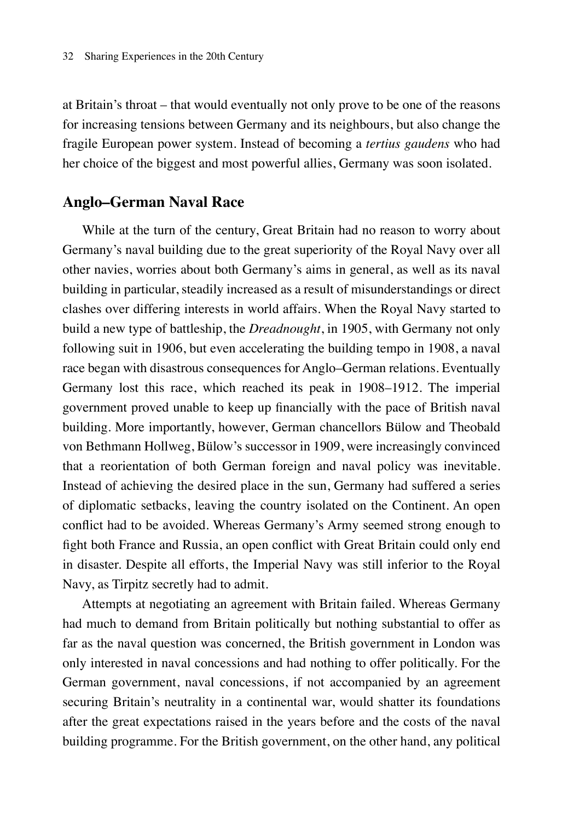at Britain's throat – that would eventually not only prove to be one of the reasons for increasing tensions between Germany and its neighbours, but also change the fragile European power system. Instead of becoming a *tertius gaudens* who had her choice of the biggest and most powerful allies, Germany was soon isolated.

#### **Anglo–German Naval Race**

While at the turn of the century, Great Britain had no reason to worry about Germany's naval building due to the great superiority of the Royal Navy over all other navies, worries about both Germany's aims in general, as well as its naval building in particular, steadily increased as a result of misunderstandings or direct clashes over differing interests in world affairs. When the Royal Navy started to build a new type of battleship, the *Dreadnought*, in 1905, with Germany not only following suit in 1906, but even accelerating the building tempo in 1908, a naval race began with disastrous consequences for Anglo–German relations. Eventually Germany lost this race, which reached its peak in 1908–1912. The imperial government proved unable to keep up financially with the pace of British naval building. More importantly, however, German chancellors Bülow and Theobald von Bethmann Hollweg, Bülow's successor in 1909, were increasingly convinced that a reorientation of both German foreign and naval policy was inevitable. Instead of achieving the desired place in the sun, Germany had suffered a series of diplomatic setbacks, leaving the country isolated on the Continent. An open conflict had to be avoided. Whereas Germany's Army seemed strong enough to fight both France and Russia, an open conflict with Great Britain could only end in disaster. Despite all efforts, the Imperial Navy was still inferior to the Royal Navy, as Tirpitz secretly had to admit.

Attempts at negotiating an agreement with Britain failed. Whereas Germany had much to demand from Britain politically but nothing substantial to offer as far as the naval question was concerned, the British government in London was only interested in naval concessions and had nothing to offer politically. For the German government, naval concessions, if not accompanied by an agreement securing Britain's neutrality in a continental war, would shatter its foundations after the great expectations raised in the years before and the costs of the naval building programme. For the British government, on the other hand, any political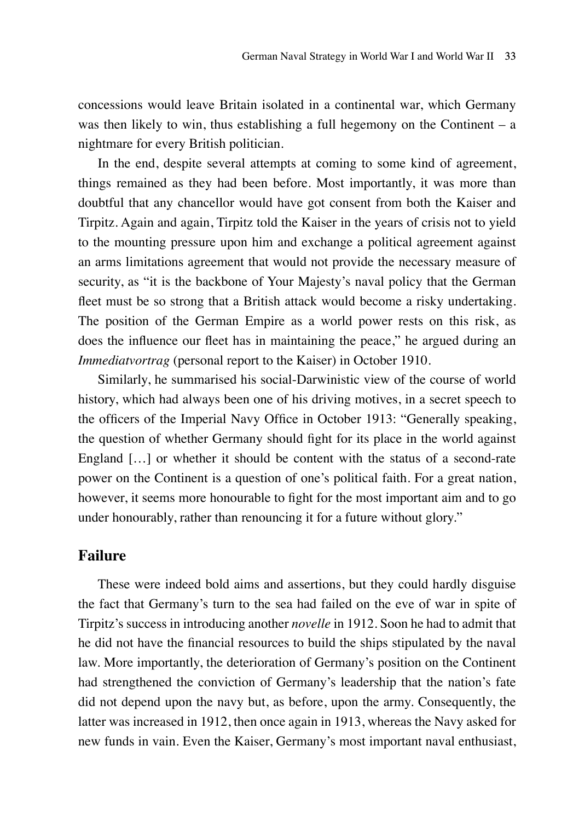concessions would leave Britain isolated in a continental war, which Germany was then likely to win, thus establishing a full hegemony on the Continent  $-$  a nightmare for every British politician.

In the end, despite several attempts at coming to some kind of agreement, things remained as they had been before. Most importantly, it was more than doubtful that any chancellor would have got consent from both the Kaiser and Tirpitz. Again and again, Tirpitz told the Kaiser in the years of crisis not to yield to the mounting pressure upon him and exchange a political agreement against an arms limitations agreement that would not provide the necessary measure of security, as "it is the backbone of Your Majesty's naval policy that the German fleet must be so strong that a British attack would become a risky undertaking. The position of the German Empire as a world power rests on this risk, as does the influence our fleet has in maintaining the peace," he argued during an *Immediatvortrag* (personal report to the Kaiser) in October 1910.

Similarly, he summarised his social-Darwinistic view of the course of world history, which had always been one of his driving motives, in a secret speech to the officers of the Imperial Navy Office in October 1913: "Generally speaking, the question of whether Germany should fight for its place in the world against England […] or whether it should be content with the status of a second-rate power on the Continent is a question of one's political faith. For a great nation, however, it seems more honourable to fight for the most important aim and to go under honourably, rather than renouncing it for a future without glory."

#### **Failure**

These were indeed bold aims and assertions, but they could hardly disguise the fact that Germany's turn to the sea had failed on the eve of war in spite of Tirpitz's success in introducing another *novelle* in 1912. Soon he had to admit that he did not have the financial resources to build the ships stipulated by the naval law. More importantly, the deterioration of Germany's position on the Continent had strengthened the conviction of Germany's leadership that the nation's fate did not depend upon the navy but, as before, upon the army. Consequently, the latter was increased in 1912, then once again in 1913, whereas the Navy asked for new funds in vain. Even the Kaiser, Germany's most important naval enthusiast,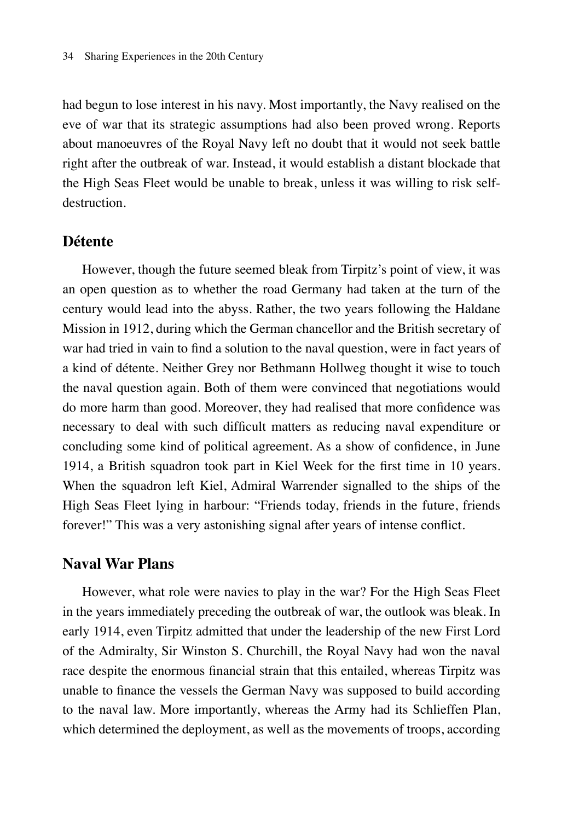had begun to lose interest in his navy. Most importantly, the Navy realised on the eve of war that its strategic assumptions had also been proved wrong. Reports about manoeuvres of the Royal Navy left no doubt that it would not seek battle right after the outbreak of war. Instead, it would establish a distant blockade that the High Seas Fleet would be unable to break, unless it was willing to risk selfdestruction.

#### **Détente**

However, though the future seemed bleak from Tirpitz's point of view, it was an open question as to whether the road Germany had taken at the turn of the century would lead into the abyss. Rather, the two years following the Haldane Mission in 1912, during which the German chancellor and the British secretary of war had tried in vain to find a solution to the naval question, were in fact years of a kind of détente. Neither Grey nor Bethmann Hollweg thought it wise to touch the naval question again. Both of them were convinced that negotiations would do more harm than good. Moreover, they had realised that more confidence was necessary to deal with such difficult matters as reducing naval expenditure or concluding some kind of political agreement. As a show of confidence, in June 1914, a British squadron took part in Kiel Week for the first time in 10 years. When the squadron left Kiel, Admiral Warrender signalled to the ships of the High Seas Fleet lying in harbour: "Friends today, friends in the future, friends forever!" This was a very astonishing signal after years of intense conflict.

#### **Naval War Plans**

However, what role were navies to play in the war? For the High Seas Fleet in the years immediately preceding the outbreak of war, the outlook was bleak. In early 1914, even Tirpitz admitted that under the leadership of the new First Lord of the Admiralty, Sir Winston S. Churchill, the Royal Navy had won the naval race despite the enormous financial strain that this entailed, whereas Tirpitz was unable to finance the vessels the German Navy was supposed to build according to the naval law. More importantly, whereas the Army had its Schlieffen Plan, which determined the deployment, as well as the movements of troops, according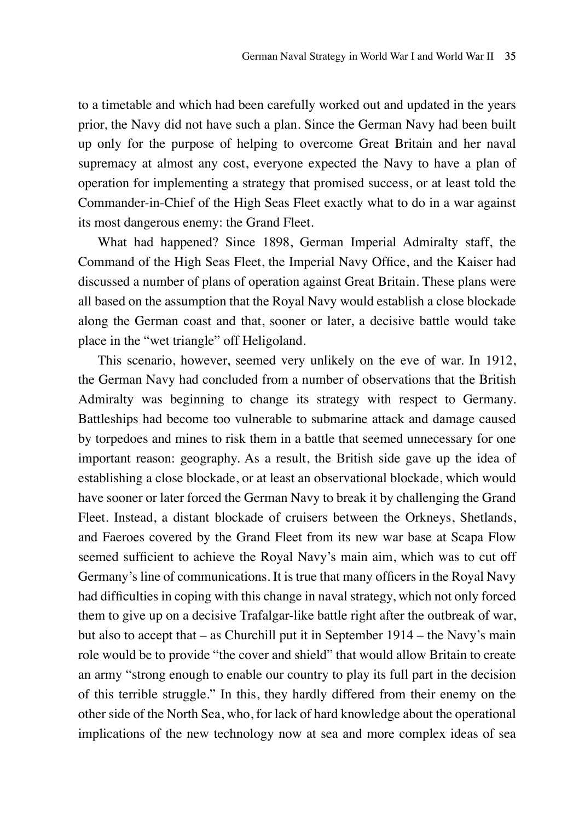to a timetable and which had been carefully worked out and updated in the years prior, the Navy did not have such a plan. Since the German Navy had been built up only for the purpose of helping to overcome Great Britain and her naval supremacy at almost any cost, everyone expected the Navy to have a plan of operation for implementing a strategy that promised success, or at least told the Commander-in-Chief of the High Seas Fleet exactly what to do in a war against its most dangerous enemy: the Grand Fleet.

What had happened? Since 1898, German Imperial Admiralty staff, the Command of the High Seas Fleet, the Imperial Navy Office, and the Kaiser had discussed a number of plans of operation against Great Britain. These plans were all based on the assumption that the Royal Navy would establish a close blockade along the German coast and that, sooner or later, a decisive battle would take place in the "wet triangle" off Heligoland.

This scenario, however, seemed very unlikely on the eve of war. In 1912, the German Navy had concluded from a number of observations that the British Admiralty was beginning to change its strategy with respect to Germany. Battleships had become too vulnerable to submarine attack and damage caused by torpedoes and mines to risk them in a battle that seemed unnecessary for one important reason: geography. As a result, the British side gave up the idea of establishing a close blockade, or at least an observational blockade, which would have sooner or later forced the German Navy to break it by challenging the Grand Fleet. Instead, a distant blockade of cruisers between the Orkneys, Shetlands, and Faeroes covered by the Grand Fleet from its new war base at Scapa Flow seemed sufficient to achieve the Royal Navy's main aim, which was to cut off Germany's line of communications. It is true that many officers in the Royal Navy had difficulties in coping with this change in naval strategy, which not only forced them to give up on a decisive Trafalgar-like battle right after the outbreak of war, but also to accept that – as Churchill put it in September 1914 – the Navy's main role would be to provide "the cover and shield" that would allow Britain to create an army "strong enough to enable our country to play its full part in the decision of this terrible struggle." In this, they hardly differed from their enemy on the other side of the North Sea, who, for lack of hard knowledge about the operational implications of the new technology now at sea and more complex ideas of sea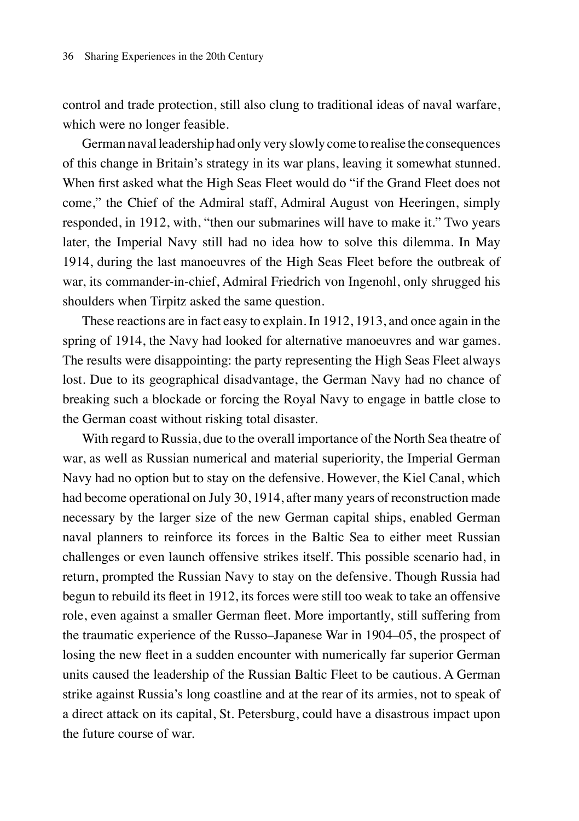control and trade protection, still also clung to traditional ideas of naval warfare, which were no longer feasible.

German naval leadership had only very slowly come to realise the consequences of this change in Britain's strategy in its war plans, leaving it somewhat stunned. When first asked what the High Seas Fleet would do "if the Grand Fleet does not come," the Chief of the Admiral staff, Admiral August von Heeringen, simply responded, in 1912, with, "then our submarines will have to make it." Two years later, the Imperial Navy still had no idea how to solve this dilemma. In May 1914, during the last manoeuvres of the High Seas Fleet before the outbreak of war, its commander-in-chief, Admiral Friedrich von Ingenohl, only shrugged his shoulders when Tirpitz asked the same question.

These reactions are in fact easy to explain. In 1912, 1913, and once again in the spring of 1914, the Navy had looked for alternative manoeuvres and war games. The results were disappointing: the party representing the High Seas Fleet always lost. Due to its geographical disadvantage, the German Navy had no chance of breaking such a blockade or forcing the Royal Navy to engage in battle close to the German coast without risking total disaster.

With regard to Russia, due to the overall importance of the North Sea theatre of war, as well as Russian numerical and material superiority, the Imperial German Navy had no option but to stay on the defensive. However, the Kiel Canal, which had become operational on July 30, 1914, after many years of reconstruction made necessary by the larger size of the new German capital ships, enabled German naval planners to reinforce its forces in the Baltic Sea to either meet Russian challenges or even launch offensive strikes itself. This possible scenario had, in return, prompted the Russian Navy to stay on the defensive. Though Russia had begun to rebuild its fleet in 1912, its forces were still too weak to take an offensive role, even against a smaller German fleet. More importantly, still suffering from the traumatic experience of the Russo–Japanese War in 1904–05, the prospect of losing the new fleet in a sudden encounter with numerically far superior German units caused the leadership of the Russian Baltic Fleet to be cautious. A German strike against Russia's long coastline and at the rear of its armies, not to speak of a direct attack on its capital, St. Petersburg, could have a disastrous impact upon the future course of war.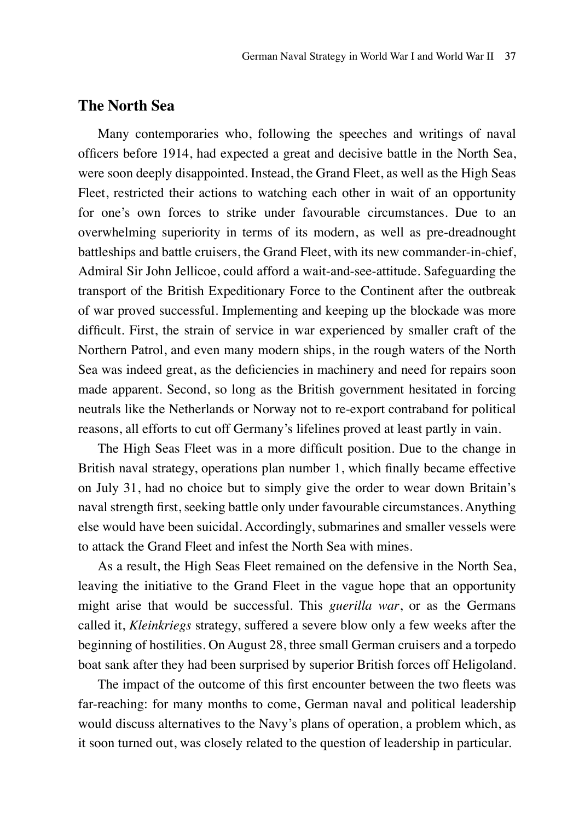## **The North Sea**

Many contemporaries who, following the speeches and writings of naval officers before 1914, had expected a great and decisive battle in the North Sea, were soon deeply disappointed. Instead, the Grand Fleet, as well as the High Seas Fleet, restricted their actions to watching each other in wait of an opportunity for one's own forces to strike under favourable circumstances. Due to an overwhelming superiority in terms of its modern, as well as pre-dreadnought battleships and battle cruisers, the Grand Fleet, with its new commander-in-chief, Admiral Sir John Jellicoe, could afford a wait-and-see-attitude. Safeguarding the transport of the British Expeditionary Force to the Continent after the outbreak of war proved successful. Implementing and keeping up the blockade was more difficult. First, the strain of service in war experienced by smaller craft of the Northern Patrol, and even many modern ships, in the rough waters of the North Sea was indeed great, as the deficiencies in machinery and need for repairs soon made apparent. Second, so long as the British government hesitated in forcing neutrals like the Netherlands or Norway not to re-export contraband for political reasons, all efforts to cut off Germany's lifelines proved at least partly in vain.

The High Seas Fleet was in a more difficult position. Due to the change in British naval strategy, operations plan number 1, which finally became effective on July 31, had no choice but to simply give the order to wear down Britain's naval strength first, seeking battle only under favourable circumstances. Anything else would have been suicidal. Accordingly, submarines and smaller vessels were to attack the Grand Fleet and infest the North Sea with mines.

As a result, the High Seas Fleet remained on the defensive in the North Sea, leaving the initiative to the Grand Fleet in the vague hope that an opportunity might arise that would be successful. This *guerilla war*, or as the Germans called it, *Kleinkriegs* strategy, suffered a severe blow only a few weeks after the beginning of hostilities. On August 28, three small German cruisers and a torpedo boat sank after they had been surprised by superior British forces off Heligoland.

The impact of the outcome of this first encounter between the two fleets was far-reaching: for many months to come, German naval and political leadership would discuss alternatives to the Navy's plans of operation, a problem which, as it soon turned out, was closely related to the question of leadership in particular.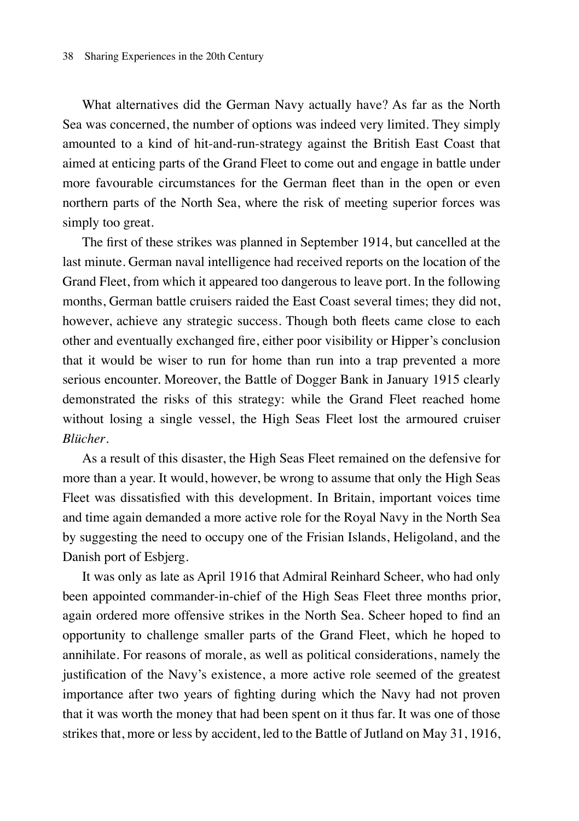What alternatives did the German Navy actually have? As far as the North Sea was concerned, the number of options was indeed very limited. They simply amounted to a kind of hit-and-run-strategy against the British East Coast that aimed at enticing parts of the Grand Fleet to come out and engage in battle under more favourable circumstances for the German fleet than in the open or even northern parts of the North Sea, where the risk of meeting superior forces was simply too great.

The first of these strikes was planned in September 1914, but cancelled at the last minute. German naval intelligence had received reports on the location of the Grand Fleet, from which it appeared too dangerous to leave port. In the following months, German battle cruisers raided the East Coast several times; they did not, however, achieve any strategic success. Though both fleets came close to each other and eventually exchanged fire, either poor visibility or Hipper's conclusion that it would be wiser to run for home than run into a trap prevented a more serious encounter. Moreover, the Battle of Dogger Bank in January 1915 clearly demonstrated the risks of this strategy: while the Grand Fleet reached home without losing a single vessel, the High Seas Fleet lost the armoured cruiser *Blücher*.

As a result of this disaster, the High Seas Fleet remained on the defensive for more than a year. It would, however, be wrong to assume that only the High Seas Fleet was dissatisfied with this development. In Britain, important voices time and time again demanded a more active role for the Royal Navy in the North Sea by suggesting the need to occupy one of the Frisian Islands, Heligoland, and the Danish port of Esbjerg.

It was only as late as April 1916 that Admiral Reinhard Scheer, who had only been appointed commander-in-chief of the High Seas Fleet three months prior, again ordered more offensive strikes in the North Sea. Scheer hoped to find an opportunity to challenge smaller parts of the Grand Fleet, which he hoped to annihilate. For reasons of morale, as well as political considerations, namely the justification of the Navy's existence, a more active role seemed of the greatest importance after two years of fighting during which the Navy had not proven that it was worth the money that had been spent on it thus far. It was one of those strikes that, more or less by accident, led to the Battle of Jutland on May 31, 1916,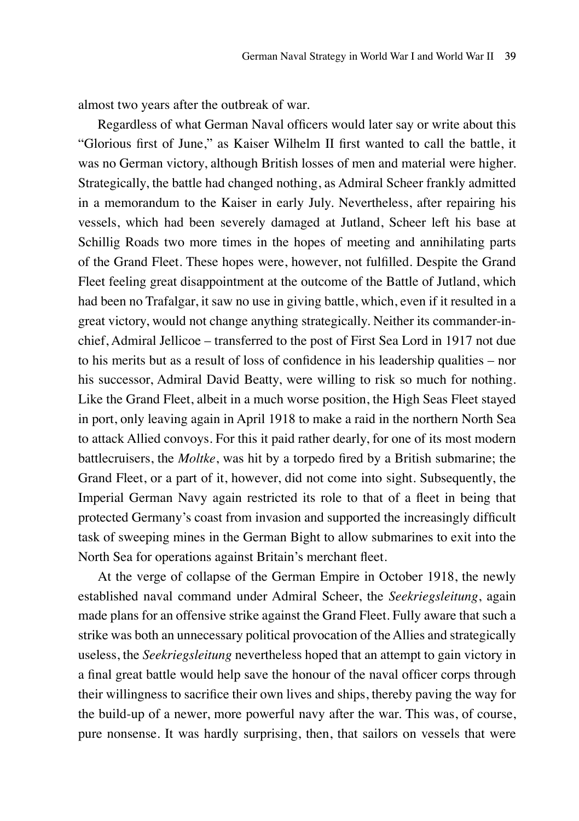almost two years after the outbreak of war.

Regardless of what German Naval officers would later say or write about this "Glorious first of June," as Kaiser Wilhelm II first wanted to call the battle, it was no German victory, although British losses of men and material were higher. Strategically, the battle had changed nothing, as Admiral Scheer frankly admitted in a memorandum to the Kaiser in early July. Nevertheless, after repairing his vessels, which had been severely damaged at Jutland, Scheer left his base at Schillig Roads two more times in the hopes of meeting and annihilating parts of the Grand Fleet. These hopes were, however, not fulfilled. Despite the Grand Fleet feeling great disappointment at the outcome of the Battle of Jutland, which had been no Trafalgar, it saw no use in giving battle, which, even if it resulted in a great victory, would not change anything strategically. Neither its commander-inchief, Admiral Jellicoe – transferred to the post of First Sea Lord in 1917 not due to his merits but as a result of loss of confidence in his leadership qualities – nor his successor, Admiral David Beatty, were willing to risk so much for nothing. Like the Grand Fleet, albeit in a much worse position, the High Seas Fleet stayed in port, only leaving again in April 1918 to make a raid in the northern North Sea to attack Allied convoys. For this it paid rather dearly, for one of its most modern battlecruisers, the *Moltke*, was hit by a torpedo fired by a British submarine; the Grand Fleet, or a part of it, however, did not come into sight. Subsequently, the Imperial German Navy again restricted its role to that of a fleet in being that protected Germany's coast from invasion and supported the increasingly difficult task of sweeping mines in the German Bight to allow submarines to exit into the North Sea for operations against Britain's merchant fleet.

At the verge of collapse of the German Empire in October 1918, the newly established naval command under Admiral Scheer, the *Seekriegsleitung*, again made plans for an offensive strike against the Grand Fleet. Fully aware that such a strike was both an unnecessary political provocation of the Allies and strategically useless, the *Seekriegsleitung* nevertheless hoped that an attempt to gain victory in a final great battle would help save the honour of the naval officer corps through their willingness to sacrifice their own lives and ships, thereby paving the way for the build-up of a newer, more powerful navy after the war. This was, of course, pure nonsense. It was hardly surprising, then, that sailors on vessels that were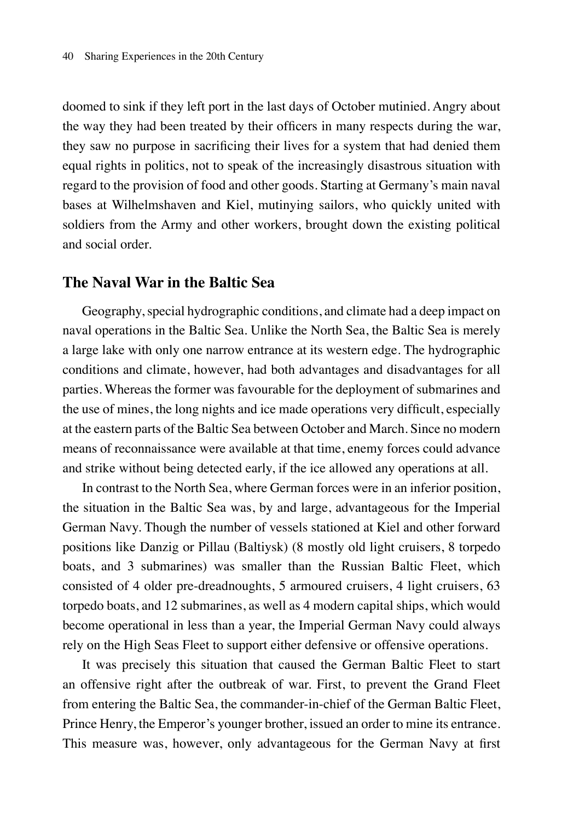doomed to sink if they left port in the last days of October mutinied. Angry about the way they had been treated by their officers in many respects during the war, they saw no purpose in sacrificing their lives for a system that had denied them equal rights in politics, not to speak of the increasingly disastrous situation with regard to the provision of food and other goods. Starting at Germany's main naval bases at Wilhelmshaven and Kiel, mutinying sailors, who quickly united with soldiers from the Army and other workers, brought down the existing political and social order.

#### **The Naval War in the Baltic Sea**

Geography, special hydrographic conditions, and climate had a deep impact on naval operations in the Baltic Sea. Unlike the North Sea, the Baltic Sea is merely a large lake with only one narrow entrance at its western edge. The hydrographic conditions and climate, however, had both advantages and disadvantages for all parties. Whereas the former was favourable for the deployment of submarines and the use of mines, the long nights and ice made operations very difficult, especially at the eastern parts of the Baltic Sea between October and March. Since no modern means of reconnaissance were available at that time, enemy forces could advance and strike without being detected early, if the ice allowed any operations at all.

In contrast to the North Sea, where German forces were in an inferior position, the situation in the Baltic Sea was, by and large, advantageous for the Imperial German Navy. Though the number of vessels stationed at Kiel and other forward positions like Danzig or Pillau (Baltiysk) (8 mostly old light cruisers, 8 torpedo boats, and 3 submarines) was smaller than the Russian Baltic Fleet, which consisted of 4 older pre-dreadnoughts, 5 armoured cruisers, 4 light cruisers, 63 torpedo boats, and 12 submarines, as well as 4 modern capital ships, which would become operational in less than a year, the Imperial German Navy could always rely on the High Seas Fleet to support either defensive or offensive operations.

It was precisely this situation that caused the German Baltic Fleet to start an offensive right after the outbreak of war. First, to prevent the Grand Fleet from entering the Baltic Sea, the commander-in-chief of the German Baltic Fleet, Prince Henry, the Emperor's younger brother, issued an order to mine its entrance. This measure was, however, only advantageous for the German Navy at first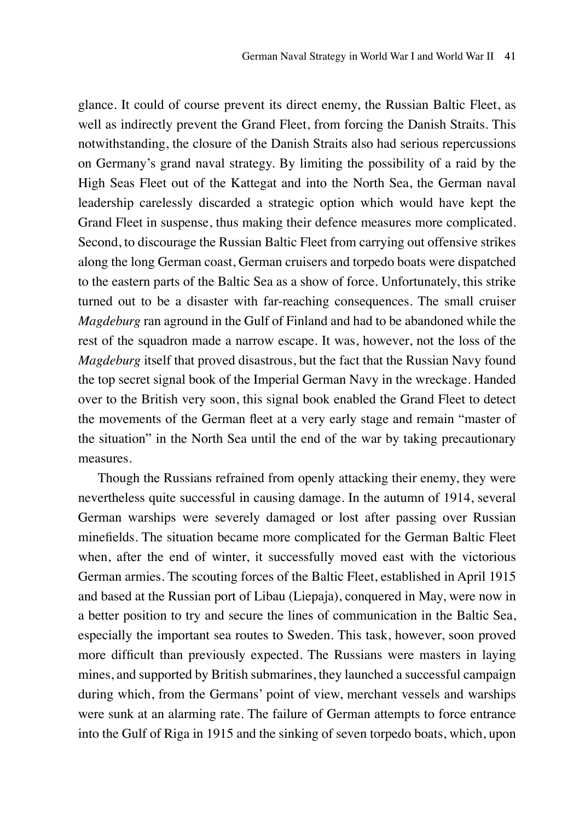glance. It could of course prevent its direct enemy, the Russian Baltic Fleet, as well as indirectly prevent the Grand Fleet, from forcing the Danish Straits. This notwithstanding, the closure of the Danish Straits also had serious repercussions on Germany's grand naval strategy. By limiting the possibility of a raid by the High Seas Fleet out of the Kattegat and into the North Sea, the German naval leadership carelessly discarded a strategic option which would have kept the Grand Fleet in suspense, thus making their defence measures more complicated. Second, to discourage the Russian Baltic Fleet from carrying out offensive strikes along the long German coast, German cruisers and torpedo boats were dispatched to the eastern parts of the Baltic Sea as a show of force. Unfortunately, this strike turned out to be a disaster with far-reaching consequences. The small cruiser *Magdeburg* ran aground in the Gulf of Finland and had to be abandoned while the rest of the squadron made a narrow escape. It was, however, not the loss of the *Magdeburg* itself that proved disastrous, but the fact that the Russian Navy found the top secret signal book of the Imperial German Navy in the wreckage. Handed over to the British very soon, this signal book enabled the Grand Fleet to detect the movements of the German fleet at a very early stage and remain "master of the situation" in the North Sea until the end of the war by taking precautionary measures.

Though the Russians refrained from openly attacking their enemy, they were nevertheless quite successful in causing damage. In the autumn of 1914, several German warships were severely damaged or lost after passing over Russian minefields. The situation became more complicated for the German Baltic Fleet when, after the end of winter, it successfully moved east with the victorious German armies. The scouting forces of the Baltic Fleet, established in April 1915 and based at the Russian port of Libau (Liepaja), conquered in May, were now in a better position to try and secure the lines of communication in the Baltic Sea, especially the important sea routes to Sweden. This task, however, soon proved more difficult than previously expected. The Russians were masters in laying mines, and supported by British submarines, they launched a successful campaign during which, from the Germans' point of view, merchant vessels and warships were sunk at an alarming rate. The failure of German attempts to force entrance into the Gulf of Riga in 1915 and the sinking of seven torpedo boats, which, upon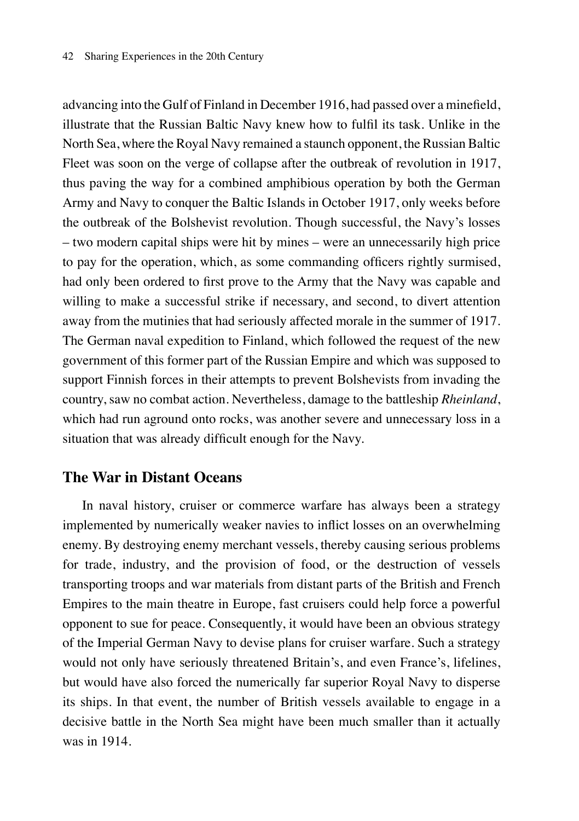advancing into the Gulf of Finland in December 1916, had passed over a minefield, illustrate that the Russian Baltic Navy knew how to fulfil its task. Unlike in the North Sea, where the Royal Navy remained a staunch opponent, the Russian Baltic Fleet was soon on the verge of collapse after the outbreak of revolution in 1917, thus paving the way for a combined amphibious operation by both the German Army and Navy to conquer the Baltic Islands in October 1917, only weeks before the outbreak of the Bolshevist revolution. Though successful, the Navy's losses – two modern capital ships were hit by mines – were an unnecessarily high price to pay for the operation, which, as some commanding officers rightly surmised, had only been ordered to first prove to the Army that the Navy was capable and willing to make a successful strike if necessary, and second, to divert attention away from the mutinies that had seriously affected morale in the summer of 1917. The German naval expedition to Finland, which followed the request of the new government of this former part of the Russian Empire and which was supposed to support Finnish forces in their attempts to prevent Bolshevists from invading the country, saw no combat action. Nevertheless, damage to the battleship *Rheinland*, which had run aground onto rocks, was another severe and unnecessary loss in a situation that was already difficult enough for the Navy.

## **The War in Distant Oceans**

In naval history, cruiser or commerce warfare has always been a strategy implemented by numerically weaker navies to inflict losses on an overwhelming enemy. By destroying enemy merchant vessels, thereby causing serious problems for trade, industry, and the provision of food, or the destruction of vessels transporting troops and war materials from distant parts of the British and French Empires to the main theatre in Europe, fast cruisers could help force a powerful opponent to sue for peace. Consequently, it would have been an obvious strategy of the Imperial German Navy to devise plans for cruiser warfare. Such a strategy would not only have seriously threatened Britain's, and even France's, lifelines, but would have also forced the numerically far superior Royal Navy to disperse its ships. In that event, the number of British vessels available to engage in a decisive battle in the North Sea might have been much smaller than it actually was in 1914.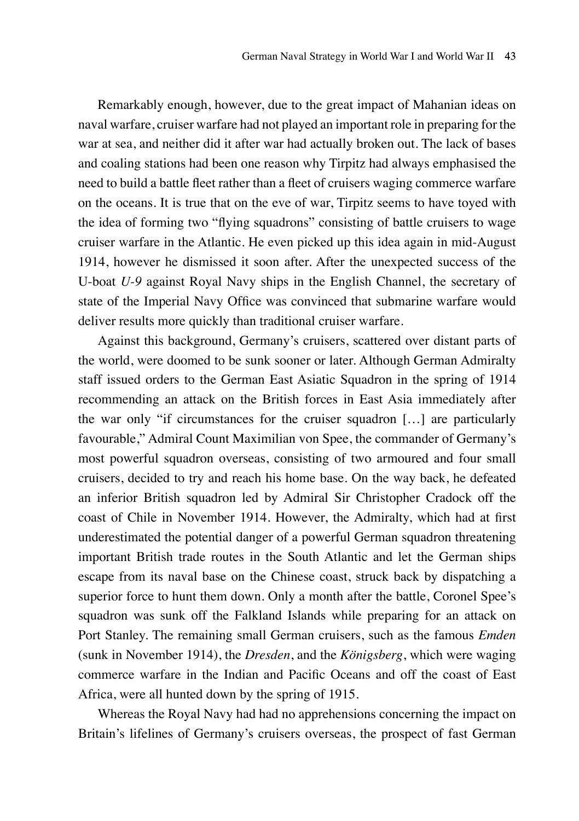Remarkably enough, however, due to the great impact of Mahanian ideas on naval warfare, cruiser warfare had not played an important role in preparing for the war at sea, and neither did it after war had actually broken out. The lack of bases and coaling stations had been one reason why Tirpitz had always emphasised the need to build a battle fleet rather than a fleet of cruisers waging commerce warfare on the oceans. It is true that on the eve of war, Tirpitz seems to have toyed with the idea of forming two "flying squadrons" consisting of battle cruisers to wage cruiser warfare in the Atlantic. He even picked up this idea again in mid-August 1914, however he dismissed it soon after. After the unexpected success of the U-boat *U-9* against Royal Navy ships in the English Channel, the secretary of state of the Imperial Navy Office was convinced that submarine warfare would deliver results more quickly than traditional cruiser warfare.

Against this background, Germany's cruisers, scattered over distant parts of the world, were doomed to be sunk sooner or later. Although German Admiralty staff issued orders to the German East Asiatic Squadron in the spring of 1914 recommending an attack on the British forces in East Asia immediately after the war only "if circumstances for the cruiser squadron […] are particularly favourable," Admiral Count Maximilian von Spee, the commander of Germany's most powerful squadron overseas, consisting of two armoured and four small cruisers, decided to try and reach his home base. On the way back, he defeated an inferior British squadron led by Admiral Sir Christopher Cradock off the coast of Chile in November 1914. However, the Admiralty, which had at first underestimated the potential danger of a powerful German squadron threatening important British trade routes in the South Atlantic and let the German ships escape from its naval base on the Chinese coast, struck back by dispatching a superior force to hunt them down. Only a month after the battle, Coronel Spee's squadron was sunk off the Falkland Islands while preparing for an attack on Port Stanley. The remaining small German cruisers, such as the famous *Emden* (sunk in November 1914), the *Dresden*, and the *Königsberg*, which were waging commerce warfare in the Indian and Pacific Oceans and off the coast of East Africa, were all hunted down by the spring of 1915.

Whereas the Royal Navy had had no apprehensions concerning the impact on Britain's lifelines of Germany's cruisers overseas, the prospect of fast German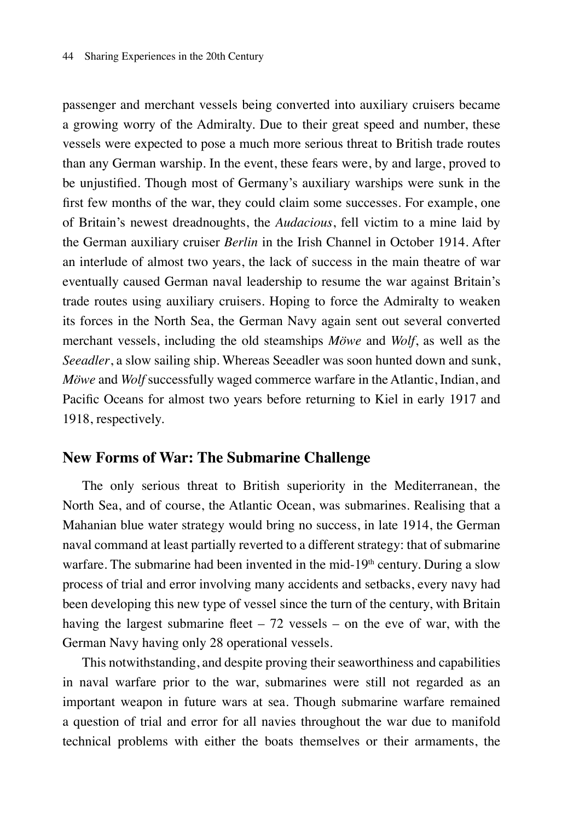passenger and merchant vessels being converted into auxiliary cruisers became a growing worry of the Admiralty. Due to their great speed and number, these vessels were expected to pose a much more serious threat to British trade routes than any German warship. In the event, these fears were, by and large, proved to be unjustified. Though most of Germany's auxiliary warships were sunk in the first few months of the war, they could claim some successes. For example, one of Britain's newest dreadnoughts, the *Audacious*, fell victim to a mine laid by the German auxiliary cruiser *Berlin* in the Irish Channel in October 1914. After an interlude of almost two years, the lack of success in the main theatre of war eventually caused German naval leadership to resume the war against Britain's trade routes using auxiliary cruisers. Hoping to force the Admiralty to weaken its forces in the North Sea, the German Navy again sent out several converted merchant vessels, including the old steamships *Möwe* and *Wolf*, as well as the *Seeadler*, a slow sailing ship. Whereas Seeadler was soon hunted down and sunk, *Möwe* and *Wolf* successfully waged commerce warfare in the Atlantic, Indian, and Pacific Oceans for almost two years before returning to Kiel in early 1917 and 1918, respectively.

#### **New Forms of War: The Submarine Challenge**

The only serious threat to British superiority in the Mediterranean, the North Sea, and of course, the Atlantic Ocean, was submarines. Realising that a Mahanian blue water strategy would bring no success, in late 1914, the German naval command at least partially reverted to a different strategy: that of submarine warfare. The submarine had been invented in the mid-19<sup>th</sup> century. During a slow process of trial and error involving many accidents and setbacks, every navy had been developing this new type of vessel since the turn of the century, with Britain having the largest submarine fleet  $-72$  vessels  $-$  on the eve of war, with the German Navy having only 28 operational vessels.

This notwithstanding, and despite proving their seaworthiness and capabilities in naval warfare prior to the war, submarines were still not regarded as an important weapon in future wars at sea. Though submarine warfare remained a question of trial and error for all navies throughout the war due to manifold technical problems with either the boats themselves or their armaments, the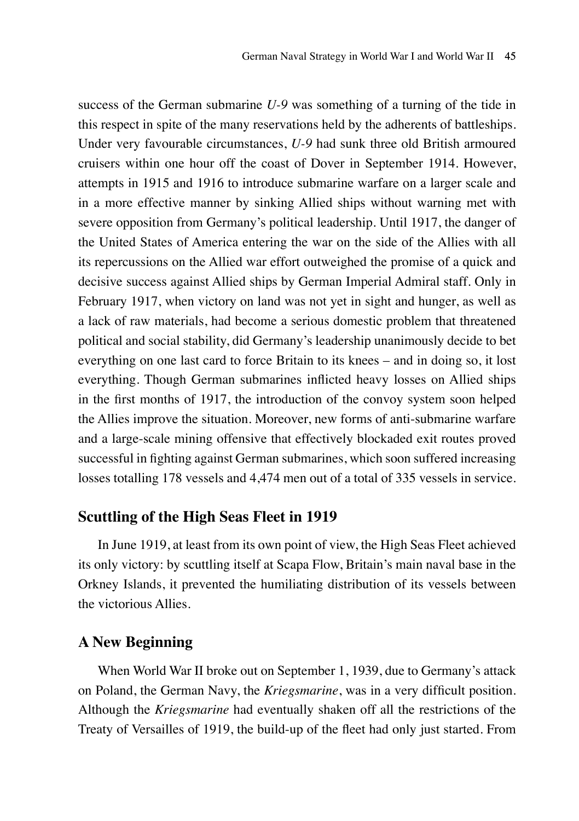success of the German submarine *U-9* was something of a turning of the tide in this respect in spite of the many reservations held by the adherents of battleships. Under very favourable circumstances, *U-9* had sunk three old British armoured cruisers within one hour off the coast of Dover in September 1914. However, attempts in 1915 and 1916 to introduce submarine warfare on a larger scale and in a more effective manner by sinking Allied ships without warning met with severe opposition from Germany's political leadership. Until 1917, the danger of the United States of America entering the war on the side of the Allies with all its repercussions on the Allied war effort outweighed the promise of a quick and decisive success against Allied ships by German Imperial Admiral staff. Only in February 1917, when victory on land was not yet in sight and hunger, as well as a lack of raw materials, had become a serious domestic problem that threatened political and social stability, did Germany's leadership unanimously decide to bet everything on one last card to force Britain to its knees – and in doing so, it lost everything. Though German submarines inflicted heavy losses on Allied ships in the first months of 1917, the introduction of the convoy system soon helped the Allies improve the situation. Moreover, new forms of anti-submarine warfare and a large-scale mining offensive that effectively blockaded exit routes proved successful in fighting against German submarines, which soon suffered increasing losses totalling 178 vessels and 4,474 men out of a total of 335 vessels in service.

#### **Scuttling of the High Seas Fleet in 1919**

In June 1919, at least from its own point of view, the High Seas Fleet achieved its only victory: by scuttling itself at Scapa Flow, Britain's main naval base in the Orkney Islands, it prevented the humiliating distribution of its vessels between the victorious Allies.

## **A New Beginning**

When World War II broke out on September 1, 1939, due to Germany's attack on Poland, the German Navy, the *Kriegsmarine*, was in a very difficult position. Although the *Kriegsmarine* had eventually shaken off all the restrictions of the Treaty of Versailles of 1919, the build-up of the fleet had only just started. From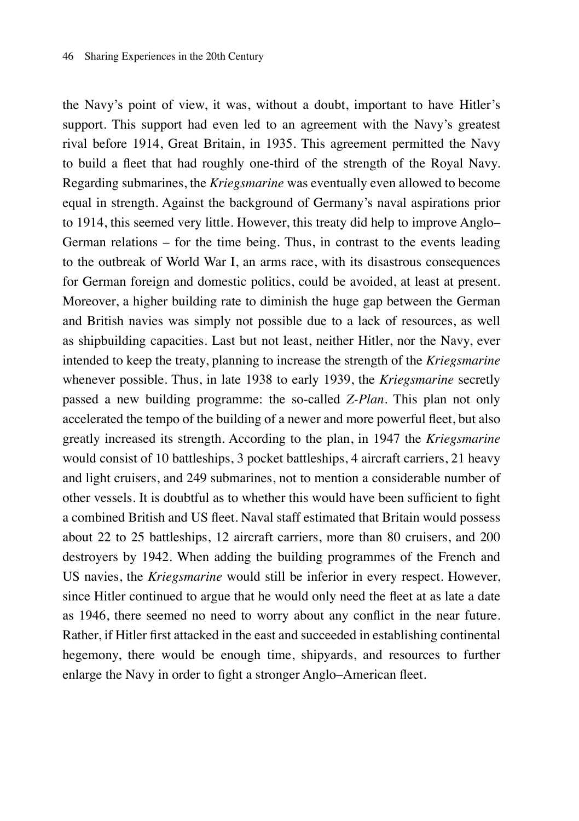the Navy's point of view, it was, without a doubt, important to have Hitler's support. This support had even led to an agreement with the Navy's greatest rival before 1914, Great Britain, in 1935. This agreement permitted the Navy to build a fleet that had roughly one-third of the strength of the Royal Navy. Regarding submarines, the *Kriegsmarine* was eventually even allowed to become equal in strength. Against the background of Germany's naval aspirations prior to 1914, this seemed very little. However, this treaty did help to improve Anglo– German relations – for the time being. Thus, in contrast to the events leading to the outbreak of World War I, an arms race, with its disastrous consequences for German foreign and domestic politics, could be avoided, at least at present. Moreover, a higher building rate to diminish the huge gap between the German and British navies was simply not possible due to a lack of resources, as well as shipbuilding capacities. Last but not least, neither Hitler, nor the Navy, ever intended to keep the treaty, planning to increase the strength of the *Kriegsmarine* whenever possible. Thus, in late 1938 to early 1939, the *Kriegsmarine* secretly passed a new building programme: the so-called *Z-Plan*. This plan not only accelerated the tempo of the building of a newer and more powerful fleet, but also greatly increased its strength. According to the plan, in 1947 the *Kriegsmarine* would consist of 10 battleships, 3 pocket battleships, 4 aircraft carriers, 21 heavy and light cruisers, and 249 submarines, not to mention a considerable number of other vessels. It is doubtful as to whether this would have been sufficient to fight a combined British and US fleet. Naval staff estimated that Britain would possess about 22 to 25 battleships, 12 aircraft carriers, more than 80 cruisers, and 200 destroyers by 1942. When adding the building programmes of the French and US navies, the *Kriegsmarine* would still be inferior in every respect. However, since Hitler continued to argue that he would only need the fleet at as late a date as 1946, there seemed no need to worry about any conflict in the near future. Rather, if Hitler first attacked in the east and succeeded in establishing continental hegemony, there would be enough time, shipyards, and resources to further enlarge the Navy in order to fight a stronger Anglo–American fleet.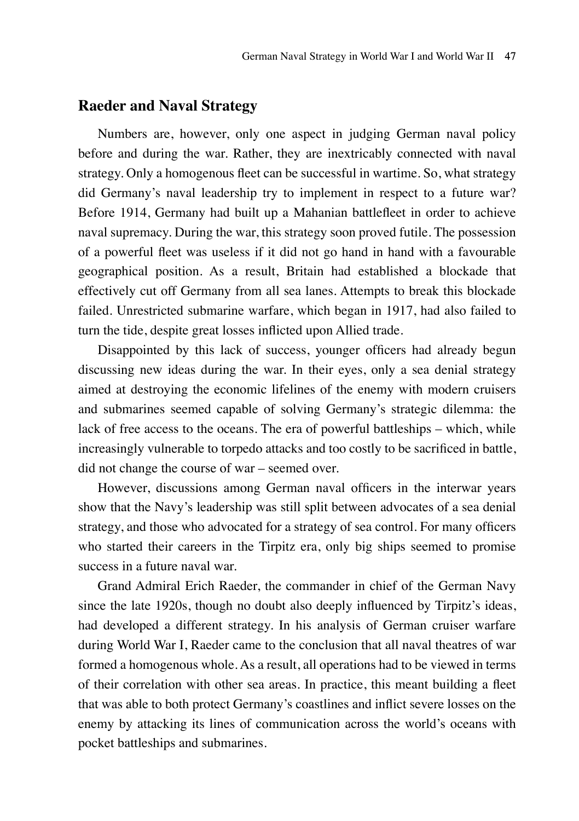## **Raeder and Naval Strategy**

Numbers are, however, only one aspect in judging German naval policy before and during the war. Rather, they are inextricably connected with naval strategy. Only a homogenous fleet can be successful in wartime. So, what strategy did Germany's naval leadership try to implement in respect to a future war? Before 1914, Germany had built up a Mahanian battlefleet in order to achieve naval supremacy. During the war, this strategy soon proved futile. The possession of a powerful fleet was useless if it did not go hand in hand with a favourable geographical position. As a result, Britain had established a blockade that effectively cut off Germany from all sea lanes. Attempts to break this blockade failed. Unrestricted submarine warfare, which began in 1917, had also failed to turn the tide, despite great losses inflicted upon Allied trade.

Disappointed by this lack of success, younger officers had already begun discussing new ideas during the war. In their eyes, only a sea denial strategy aimed at destroying the economic lifelines of the enemy with modern cruisers and submarines seemed capable of solving Germany's strategic dilemma: the lack of free access to the oceans. The era of powerful battleships – which, while increasingly vulnerable to torpedo attacks and too costly to be sacrificed in battle, did not change the course of war – seemed over.

However, discussions among German naval officers in the interwar years show that the Navy's leadership was still split between advocates of a sea denial strategy, and those who advocated for a strategy of sea control. For many officers who started their careers in the Tirpitz era, only big ships seemed to promise success in a future naval war.

Grand Admiral Erich Raeder, the commander in chief of the German Navy since the late 1920s, though no doubt also deeply influenced by Tirpitz's ideas, had developed a different strategy. In his analysis of German cruiser warfare during World War I, Raeder came to the conclusion that all naval theatres of war formed a homogenous whole. As a result, all operations had to be viewed in terms of their correlation with other sea areas. In practice, this meant building a fleet that was able to both protect Germany's coastlines and inflict severe losses on the enemy by attacking its lines of communication across the world's oceans with pocket battleships and submarines.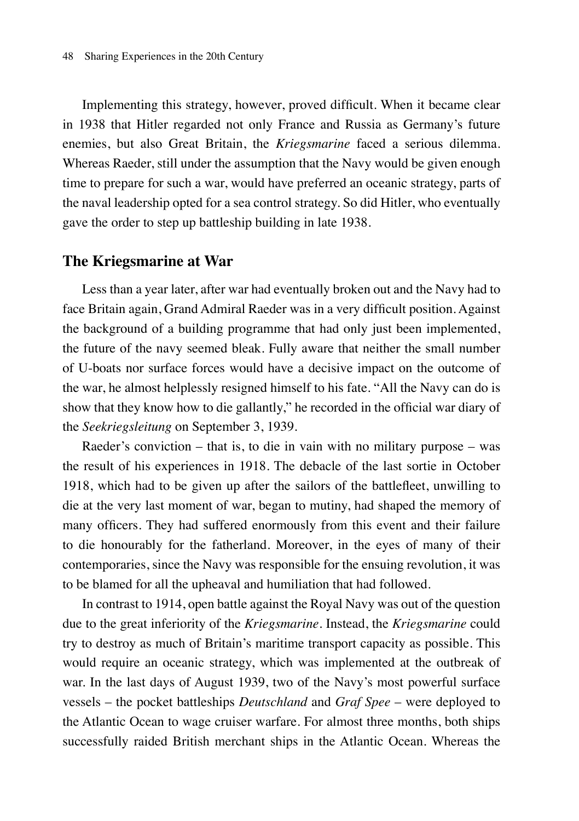Implementing this strategy, however, proved difficult. When it became clear in 1938 that Hitler regarded not only France and Russia as Germany's future enemies, but also Great Britain, the *Kriegsmarine* faced a serious dilemma. Whereas Raeder, still under the assumption that the Navy would be given enough time to prepare for such a war, would have preferred an oceanic strategy, parts of the naval leadership opted for a sea control strategy. So did Hitler, who eventually gave the order to step up battleship building in late 1938.

#### **The Kriegsmarine at War**

Less than a year later, after war had eventually broken out and the Navy had to face Britain again, Grand Admiral Raeder was in a very difficult position. Against the background of a building programme that had only just been implemented, the future of the navy seemed bleak. Fully aware that neither the small number of U-boats nor surface forces would have a decisive impact on the outcome of the war, he almost helplessly resigned himself to his fate. "All the Navy can do is show that they know how to die gallantly," he recorded in the official war diary of the *Seekriegsleitung* on September 3, 1939.

Raeder's conviction – that is, to die in vain with no military purpose – was the result of his experiences in 1918. The debacle of the last sortie in October 1918, which had to be given up after the sailors of the battlefleet, unwilling to die at the very last moment of war, began to mutiny, had shaped the memory of many officers. They had suffered enormously from this event and their failure to die honourably for the fatherland. Moreover, in the eyes of many of their contemporaries, since the Navy was responsible for the ensuing revolution, it was to be blamed for all the upheaval and humiliation that had followed.

In contrast to 1914, open battle against the Royal Navy was out of the question due to the great inferiority of the *Kriegsmarine*. Instead, the *Kriegsmarine* could try to destroy as much of Britain's maritime transport capacity as possible. This would require an oceanic strategy, which was implemented at the outbreak of war. In the last days of August 1939, two of the Navy's most powerful surface vessels – the pocket battleships *Deutschland* and *Graf Spee* – were deployed to the Atlantic Ocean to wage cruiser warfare. For almost three months, both ships successfully raided British merchant ships in the Atlantic Ocean. Whereas the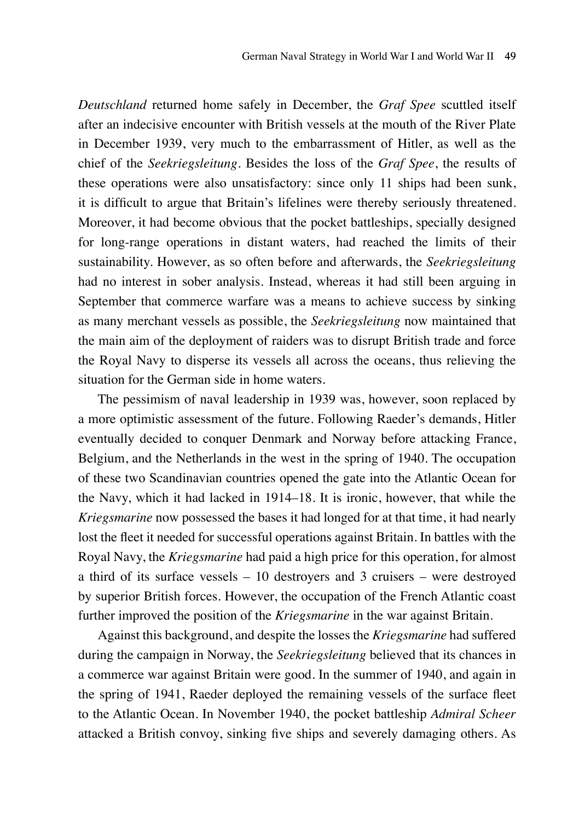*Deutschland* returned home safely in December, the *Graf Spee* scuttled itself after an indecisive encounter with British vessels at the mouth of the River Plate in December 1939, very much to the embarrassment of Hitler, as well as the chief of the *Seekriegsleitung*. Besides the loss of the *Graf Spee*, the results of these operations were also unsatisfactory: since only 11 ships had been sunk, it is difficult to argue that Britain's lifelines were thereby seriously threatened. Moreover, it had become obvious that the pocket battleships, specially designed for long-range operations in distant waters, had reached the limits of their sustainability. However, as so often before and afterwards, the *Seekriegsleitung* had no interest in sober analysis. Instead, whereas it had still been arguing in September that commerce warfare was a means to achieve success by sinking as many merchant vessels as possible, the *Seekriegsleitung* now maintained that the main aim of the deployment of raiders was to disrupt British trade and force the Royal Navy to disperse its vessels all across the oceans, thus relieving the situation for the German side in home waters.

The pessimism of naval leadership in 1939 was, however, soon replaced by a more optimistic assessment of the future. Following Raeder's demands, Hitler eventually decided to conquer Denmark and Norway before attacking France, Belgium, and the Netherlands in the west in the spring of 1940. The occupation of these two Scandinavian countries opened the gate into the Atlantic Ocean for the Navy, which it had lacked in 1914–18. It is ironic, however, that while the *Kriegsmarine* now possessed the bases it had longed for at that time, it had nearly lost the fleet it needed for successful operations against Britain. In battles with the Royal Navy, the *Kriegsmarine* had paid a high price for this operation, for almost a third of its surface vessels – 10 destroyers and 3 cruisers – were destroyed by superior British forces. However, the occupation of the French Atlantic coast further improved the position of the *Kriegsmarine* in the war against Britain.

Against this background, and despite the losses the *Kriegsmarine* had suffered during the campaign in Norway, the *Seekriegsleitung* believed that its chances in a commerce war against Britain were good. In the summer of 1940, and again in the spring of 1941, Raeder deployed the remaining vessels of the surface fleet to the Atlantic Ocean. In November 1940, the pocket battleship *Admiral Scheer* attacked a British convoy, sinking five ships and severely damaging others. As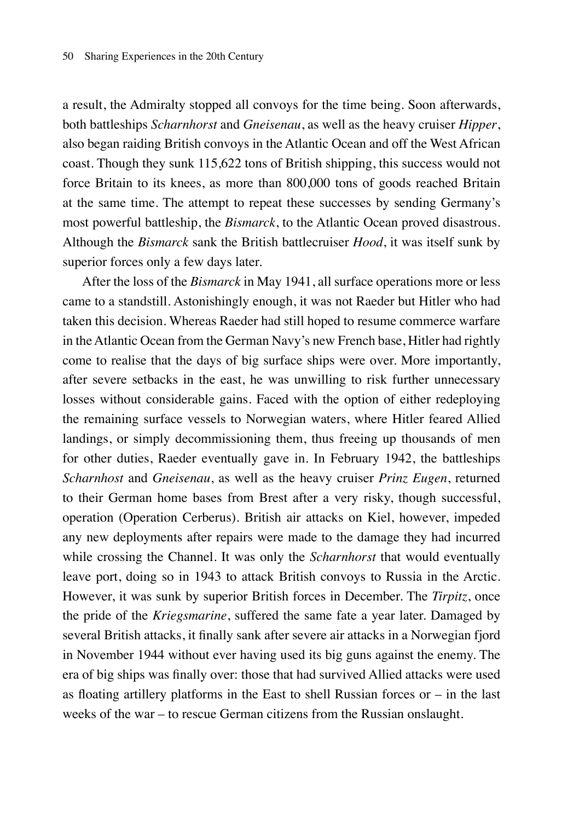a result, the Admiralty stopped all convoys for the time being. Soon afterwards, both battleships *Scharnhorst* and *Gneisenau*, as well as the heavy cruiser *Hipper*, also began raiding British convoys in the Atlantic Ocean and off the West African coast. Though they sunk 115,622 tons of British shipping, this success would not force Britain to its knees, as more than 800,000 tons of goods reached Britain at the same time. The attempt to repeat these successes by sending Germany's most powerful battleship, the *Bismarck*, to the Atlantic Ocean proved disastrous. Although the *Bismarck* sank the British battlecruiser *Hood*, it was itself sunk by superior forces only a few days later.

After the loss of the *Bismarck* in May 1941, all surface operations more or less came to a standstill. Astonishingly enough, it was not Raeder but Hitler who had taken this decision. Whereas Raeder had still hoped to resume commerce warfare in the Atlantic Ocean from the German Navy's new French base, Hitler had rightly come to realise that the days of big surface ships were over. More importantly, after severe setbacks in the east, he was unwilling to risk further unnecessary losses without considerable gains. Faced with the option of either redeploying the remaining surface vessels to Norwegian waters, where Hitler feared Allied landings, or simply decommissioning them, thus freeing up thousands of men for other duties, Raeder eventually gave in. In February 1942, the battleships *Scharnhost* and *Gneisenau*, as well as the heavy cruiser *Prinz Eugen*, returned to their German home bases from Brest after a very risky, though successful, operation (Operation Cerberus). British air attacks on Kiel, however, impeded any new deployments after repairs were made to the damage they had incurred while crossing the Channel. It was only the *Scharnhorst* that would eventually leave port, doing so in 1943 to attack British convoys to Russia in the Arctic. However, it was sunk by superior British forces in December. The *Tirpitz*, once the pride of the *Kriegsmarine*, suffered the same fate a year later. Damaged by several British attacks, it finally sank after severe air attacks in a Norwegian fjord in November 1944 without ever having used its big guns against the enemy. The era of big ships was finally over: those that had survived Allied attacks were used as floating artillery platforms in the East to shell Russian forces or – in the last weeks of the war – to rescue German citizens from the Russian onslaught.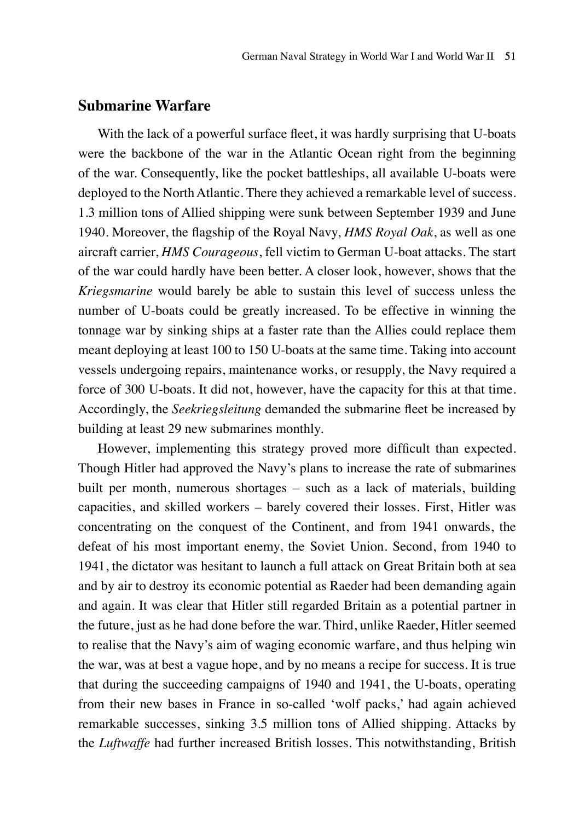## **Submarine Warfare**

With the lack of a powerful surface fleet, it was hardly surprising that U-boats were the backbone of the war in the Atlantic Ocean right from the beginning of the war. Consequently, like the pocket battleships, all available U-boats were deployed to the North Atlantic. There they achieved a remarkable level of success. 1.3 million tons of Allied shipping were sunk between September 1939 and June 1940. Moreover, the flagship of the Royal Navy, *HMS Royal Oak*, as well as one aircraft carrier, *HMS Courageous*, fell victim to German U-boat attacks. The start of the war could hardly have been better. A closer look, however, shows that the *Kriegsmarine* would barely be able to sustain this level of success unless the number of U-boats could be greatly increased. To be effective in winning the tonnage war by sinking ships at a faster rate than the Allies could replace them meant deploying at least 100 to 150 U-boats at the same time. Taking into account vessels undergoing repairs, maintenance works, or resupply, the Navy required a force of 300 U-boats. It did not, however, have the capacity for this at that time. Accordingly, the *Seekriegsleitung* demanded the submarine fleet be increased by building at least 29 new submarines monthly.

However, implementing this strategy proved more difficult than expected. Though Hitler had approved the Navy's plans to increase the rate of submarines built per month, numerous shortages – such as a lack of materials, building capacities, and skilled workers – barely covered their losses. First, Hitler was concentrating on the conquest of the Continent, and from 1941 onwards, the defeat of his most important enemy, the Soviet Union. Second, from 1940 to 1941, the dictator was hesitant to launch a full attack on Great Britain both at sea and by air to destroy its economic potential as Raeder had been demanding again and again. It was clear that Hitler still regarded Britain as a potential partner in the future, just as he had done before the war. Third, unlike Raeder, Hitler seemed to realise that the Navy's aim of waging economic warfare, and thus helping win the war, was at best a vague hope, and by no means a recipe for success. It is true that during the succeeding campaigns of 1940 and 1941, the U-boats, operating from their new bases in France in so-called 'wolf packs,' had again achieved remarkable successes, sinking 3.5 million tons of Allied shipping. Attacks by the *Luftwaffe* had further increased British losses. This notwithstanding, British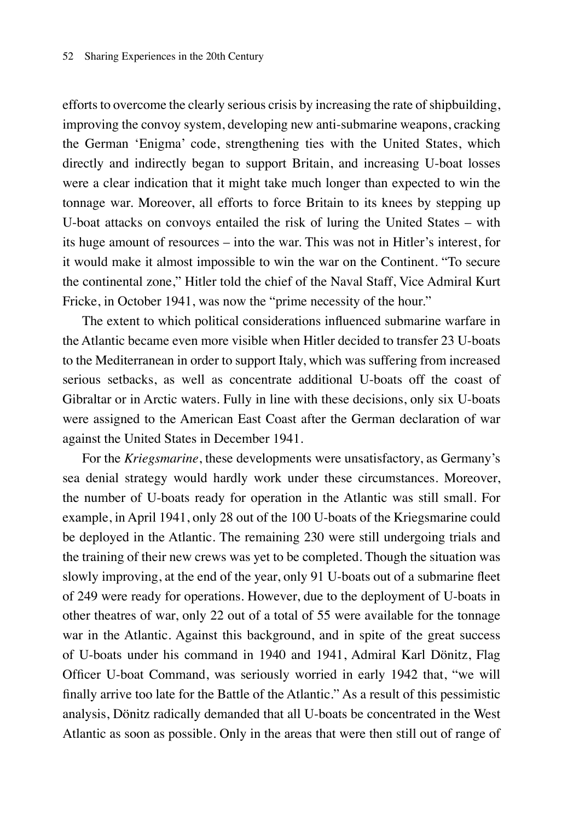efforts to overcome the clearly serious crisis by increasing the rate of shipbuilding, improving the convoy system, developing new anti-submarine weapons, cracking the German 'Enigma' code, strengthening ties with the United States, which directly and indirectly began to support Britain, and increasing U-boat losses were a clear indication that it might take much longer than expected to win the tonnage war. Moreover, all efforts to force Britain to its knees by stepping up U-boat attacks on convoys entailed the risk of luring the United States – with its huge amount of resources – into the war. This was not in Hitler's interest, for it would make it almost impossible to win the war on the Continent. "To secure the continental zone," Hitler told the chief of the Naval Staff, Vice Admiral Kurt Fricke, in October 1941, was now the "prime necessity of the hour."

The extent to which political considerations influenced submarine warfare in the Atlantic became even more visible when Hitler decided to transfer 23 U-boats to the Mediterranean in order to support Italy, which was suffering from increased serious setbacks, as well as concentrate additional U-boats off the coast of Gibraltar or in Arctic waters. Fully in line with these decisions, only six U-boats were assigned to the American East Coast after the German declaration of war against the United States in December 1941.

For the *Kriegsmarine*, these developments were unsatisfactory, as Germany's sea denial strategy would hardly work under these circumstances. Moreover, the number of U-boats ready for operation in the Atlantic was still small. For example, in April 1941, only 28 out of the 100 U-boats of the Kriegsmarine could be deployed in the Atlantic. The remaining 230 were still undergoing trials and the training of their new crews was yet to be completed. Though the situation was slowly improving, at the end of the year, only 91 U-boats out of a submarine fleet of 249 were ready for operations. However, due to the deployment of U-boats in other theatres of war, only 22 out of a total of 55 were available for the tonnage war in the Atlantic. Against this background, and in spite of the great success of U-boats under his command in 1940 and 1941, Admiral Karl Dönitz, Flag Officer U-boat Command, was seriously worried in early 1942 that, "we will finally arrive too late for the Battle of the Atlantic." As a result of this pessimistic analysis, Dönitz radically demanded that all U-boats be concentrated in the West Atlantic as soon as possible. Only in the areas that were then still out of range of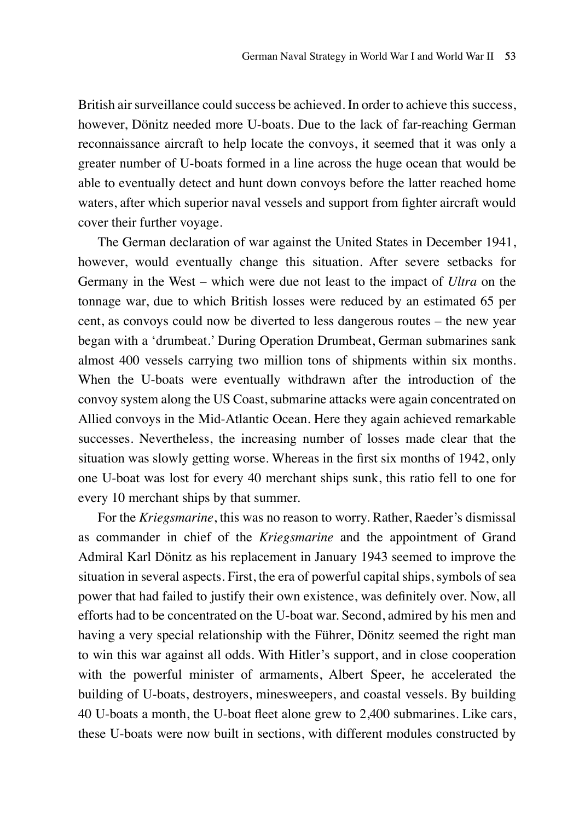British air surveillance could success be achieved. In order to achieve this success, however, Dönitz needed more U-boats. Due to the lack of far-reaching German reconnaissance aircraft to help locate the convoys, it seemed that it was only a greater number of U-boats formed in a line across the huge ocean that would be able to eventually detect and hunt down convoys before the latter reached home waters, after which superior naval vessels and support from fighter aircraft would cover their further voyage.

The German declaration of war against the United States in December 1941, however, would eventually change this situation. After severe setbacks for Germany in the West – which were due not least to the impact of *Ultra* on the tonnage war, due to which British losses were reduced by an estimated 65 per cent, as convoys could now be diverted to less dangerous routes – the new year began with a 'drumbeat.' During Operation Drumbeat, German submarines sank almost 400 vessels carrying two million tons of shipments within six months. When the U-boats were eventually withdrawn after the introduction of the convoy system along the US Coast, submarine attacks were again concentrated on Allied convoys in the Mid-Atlantic Ocean. Here they again achieved remarkable successes. Nevertheless, the increasing number of losses made clear that the situation was slowly getting worse. Whereas in the first six months of 1942, only one U-boat was lost for every 40 merchant ships sunk, this ratio fell to one for every 10 merchant ships by that summer.

For the *Kriegsmarine*, this was no reason to worry. Rather, Raeder's dismissal as commander in chief of the *Kriegsmarine* and the appointment of Grand Admiral Karl Dönitz as his replacement in January 1943 seemed to improve the situation in several aspects. First, the era of powerful capital ships, symbols of sea power that had failed to justify their own existence, was definitely over. Now, all efforts had to be concentrated on the U-boat war. Second, admired by his men and having a very special relationship with the Führer, Dönitz seemed the right man to win this war against all odds. With Hitler's support, and in close cooperation with the powerful minister of armaments, Albert Speer, he accelerated the building of U-boats, destroyers, minesweepers, and coastal vessels. By building 40 U-boats a month, the U-boat fleet alone grew to 2,400 submarines. Like cars, these U-boats were now built in sections, with different modules constructed by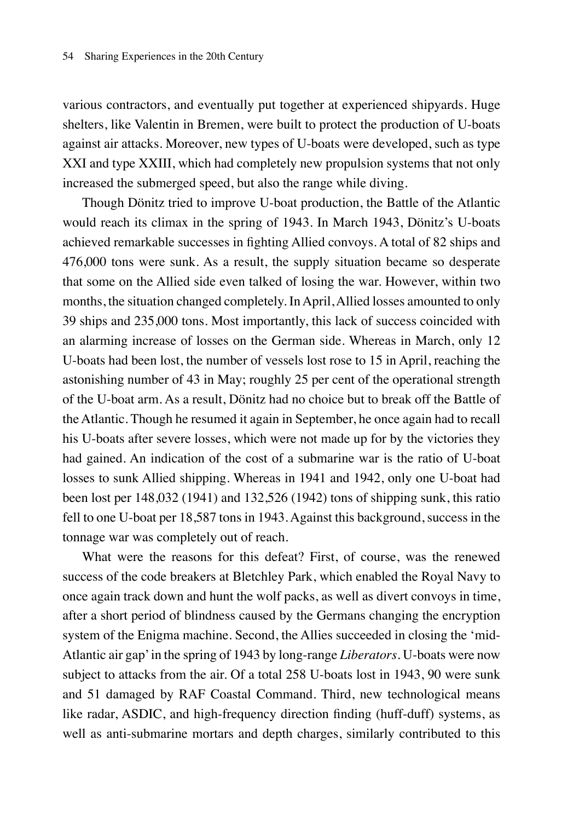various contractors, and eventually put together at experienced shipyards. Huge shelters, like Valentin in Bremen, were built to protect the production of U-boats against air attacks. Moreover, new types of U-boats were developed, such as type XXI and type XXIII, which had completely new propulsion systems that not only increased the submerged speed, but also the range while diving.

Though Dönitz tried to improve U-boat production, the Battle of the Atlantic would reach its climax in the spring of 1943. In March 1943, Dönitz's U-boats achieved remarkable successes in fighting Allied convoys. A total of 82 ships and 476,000 tons were sunk. As a result, the supply situation became so desperate that some on the Allied side even talked of losing the war. However, within two months, the situation changed completely. In April, Allied losses amounted to only 39 ships and 235,000 tons. Most importantly, this lack of success coincided with an alarming increase of losses on the German side. Whereas in March, only 12 U-boats had been lost, the number of vessels lost rose to 15 in April, reaching the astonishing number of 43 in May; roughly 25 per cent of the operational strength of the U-boat arm. As a result, Dönitz had no choice but to break off the Battle of the Atlantic. Though he resumed it again in September, he once again had to recall his U-boats after severe losses, which were not made up for by the victories they had gained. An indication of the cost of a submarine war is the ratio of U-boat losses to sunk Allied shipping. Whereas in 1941 and 1942, only one U-boat had been lost per 148,032 (1941) and 132,526 (1942) tons of shipping sunk, this ratio fell to one U-boat per 18,587 tons in 1943. Against this background, success in the tonnage war was completely out of reach.

What were the reasons for this defeat? First, of course, was the renewed success of the code breakers at Bletchley Park, which enabled the Royal Navy to once again track down and hunt the wolf packs, as well as divert convoys in time, after a short period of blindness caused by the Germans changing the encryption system of the Enigma machine. Second, the Allies succeeded in closing the 'mid-Atlantic air gap' in the spring of 1943 by long-range *Liberators*. U-boats were now subject to attacks from the air. Of a total 258 U-boats lost in 1943, 90 were sunk and 51 damaged by RAF Coastal Command. Third, new technological means like radar, ASDIC, and high-frequency direction finding (huff-duff) systems, as well as anti-submarine mortars and depth charges, similarly contributed to this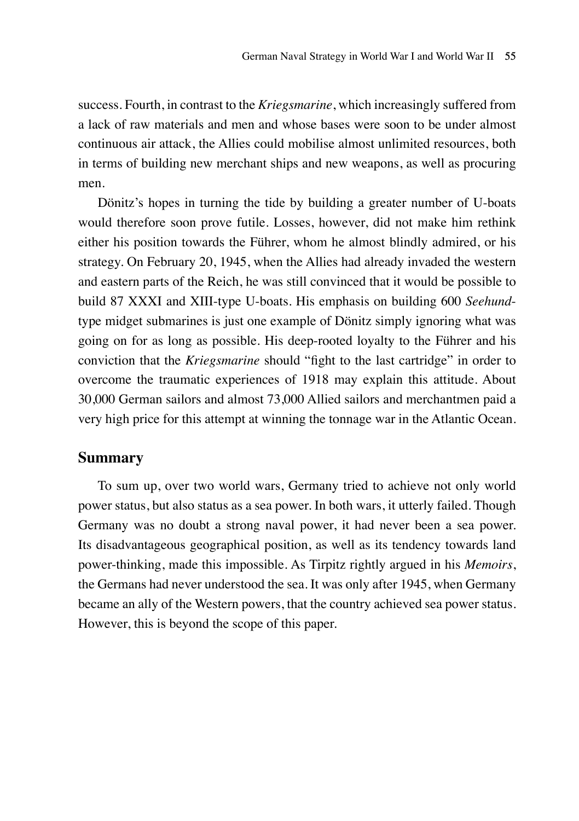success. Fourth, in contrast to the *Kriegsmarine*, which increasingly suffered from a lack of raw materials and men and whose bases were soon to be under almost continuous air attack, the Allies could mobilise almost unlimited resources, both in terms of building new merchant ships and new weapons, as well as procuring men.

Dönitz's hopes in turning the tide by building a greater number of U-boats would therefore soon prove futile. Losses, however, did not make him rethink either his position towards the Führer, whom he almost blindly admired, or his strategy. On February 20, 1945, when the Allies had already invaded the western and eastern parts of the Reich, he was still convinced that it would be possible to build 87 XXXI and XIII-type U-boats. His emphasis on building 600 *Seehund*type midget submarines is just one example of Dönitz simply ignoring what was going on for as long as possible. His deep-rooted loyalty to the Führer and his conviction that the *Kriegsmarine* should "fight to the last cartridge" in order to overcome the traumatic experiences of 1918 may explain this attitude. About 30,000 German sailors and almost 73,000 Allied sailors and merchantmen paid a very high price for this attempt at winning the tonnage war in the Atlantic Ocean.

#### **Summary**

To sum up, over two world wars, Germany tried to achieve not only world power status, but also status as a sea power. In both wars, it utterly failed. Though Germany was no doubt a strong naval power, it had never been a sea power. Its disadvantageous geographical position, as well as its tendency towards land power-thinking, made this impossible. As Tirpitz rightly argued in his *Memoirs*, the Germans had never understood the sea. It was only after 1945, when Germany became an ally of the Western powers, that the country achieved sea power status. However, this is beyond the scope of this paper.